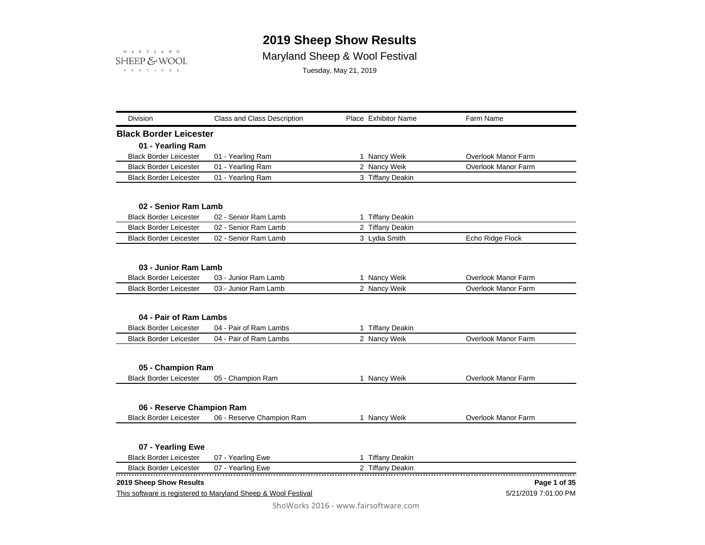## **2019 Sheep Show Results**



## Maryland Sheep & Wool Festival

Tuesday, May 21, 2019

| Division                                           | <b>Class and Class Description</b>                            | Place Exhibitor Name | Farm Name                  |
|----------------------------------------------------|---------------------------------------------------------------|----------------------|----------------------------|
| <b>Black Border Leicester</b>                      |                                                               |                      |                            |
| 01 - Yearling Ram                                  |                                                               |                      |                            |
| <b>Black Border Leicester</b>                      | 01 - Yearling Ram                                             | 1 Nancy Weik         | Overlook Manor Farm        |
| <b>Black Border Leicester</b>                      | 01 - Yearling Ram                                             | 2 Nancy Weik         | <b>Overlook Manor Farm</b> |
| <b>Black Border Leicester</b>                      | 01 - Yearling Ram                                             | 3 Tiffany Deakin     |                            |
| 02 - Senior Ram Lamb                               |                                                               |                      |                            |
| <b>Black Border Leicester</b>                      | 02 - Senior Ram Lamb                                          | 1 Tiffany Deakin     |                            |
| <b>Black Border Leicester</b>                      | 02 - Senior Ram Lamb                                          | 2 Tiffany Deakin     |                            |
| <b>Black Border Leicester</b>                      | 02 - Senior Ram Lamb                                          | 3 Lydia Smith        | Echo Ridge Flock           |
| 03 - Junior Ram Lamb                               |                                                               |                      |                            |
| <b>Black Border Leicester</b>                      | 03 - Junior Ram Lamb                                          | 1 Nancy Weik         | Overlook Manor Farm        |
| <b>Black Border Leicester</b>                      | 03 - Junior Ram Lamb                                          | 2 Nancy Weik         | <b>Overlook Manor Farm</b> |
| 04 - Pair of Ram Lambs                             |                                                               |                      |                            |
| <b>Black Border Leicester</b>                      | 04 - Pair of Ram Lambs                                        | 1 Tiffany Deakin     |                            |
| <b>Black Border Leicester</b>                      | 04 - Pair of Ram Lambs                                        | 2 Nancy Weik         | Overlook Manor Farm        |
|                                                    |                                                               |                      |                            |
| 05 - Champion Ram<br><b>Black Border Leicester</b> | 05 - Champion Ram                                             | 1 Nancy Weik         | Overlook Manor Farm        |
|                                                    |                                                               |                      |                            |
| 06 - Reserve Champion Ram                          |                                                               |                      |                            |
| <b>Black Border Leicester</b>                      | 06 - Reserve Champion Ram                                     | 1 Nancy Weik         | <b>Overlook Manor Farm</b> |
| 07 - Yearling Ewe                                  |                                                               |                      |                            |
| <b>Black Border Leicester</b>                      | 07 - Yearling Ewe                                             | 1 Tiffany Deakin     |                            |
| <b>Black Border Leicester</b>                      | 07 - Yearling Ewe                                             | 2 Tiffany Deakin     |                            |
| 2019 Sheep Show Results                            |                                                               |                      | Page 1 of 35               |
|                                                    | This software is registered to Maryland Sheep & Wool Festival |                      | 5/21/2019 7:01:00 PM       |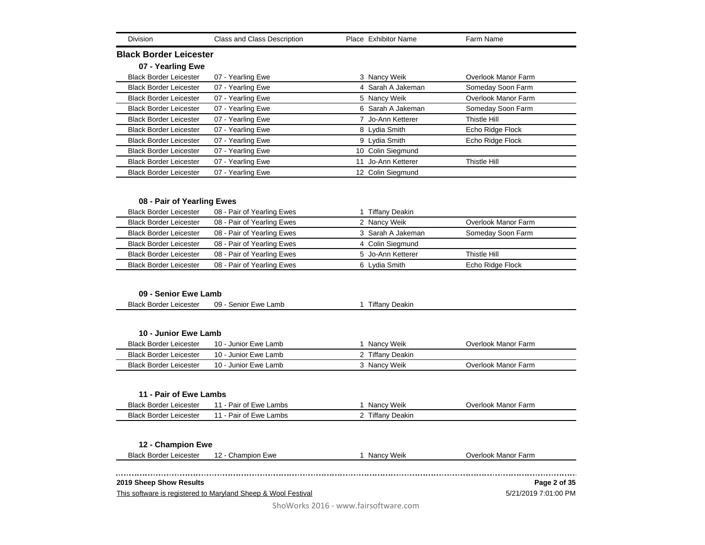| Division                      | <b>Class and Class Description</b> | Place Exhibitor Name | Farm Name           |
|-------------------------------|------------------------------------|----------------------|---------------------|
| <b>Black Border Leicester</b> |                                    |                      |                     |
| 07 - Yearling Ewe             |                                    |                      |                     |
| <b>Black Border Leicester</b> | 07 - Yearling Ewe                  | 3 Nancy Weik         | Overlook Manor Farm |
| <b>Black Border Leicester</b> | 07 - Yearling Ewe                  | 4 Sarah A Jakeman    | Someday Soon Farm   |
| <b>Black Border Leicester</b> | 07 - Yearling Ewe                  | 5 Nancy Weik         | Overlook Manor Farm |
| <b>Black Border Leicester</b> | 07 - Yearling Ewe                  | 6 Sarah A Jakeman    | Someday Soon Farm   |
| <b>Black Border Leicester</b> | 07 - Yearling Ewe                  | 7 Jo-Ann Ketterer    | Thistle Hill        |
| <b>Black Border Leicester</b> | 07 - Yearling Ewe                  | 8 Lydia Smith        | Echo Ridge Flock    |
| <b>Black Border Leicester</b> | 07 - Yearling Ewe                  | 9 Lydia Smith        | Echo Ridge Flock    |
| <b>Black Border Leicester</b> | 07 - Yearling Ewe                  | 10 Colin Siegmund    |                     |
| <b>Black Border Leicester</b> | 07 - Yearling Ewe                  | 11 Jo-Ann Ketterer   | Thistle Hill        |
| <b>Black Border Leicester</b> | 07 - Yearling Ewe                  | 12 Colin Siegmund    |                     |
|                               |                                    |                      |                     |
| 08 - Pair of Yearling Ewes    |                                    |                      |                     |
| <b>Black Border Leicester</b> | 08 - Pair of Yearling Ewes         | 1 Tiffany Deakin     |                     |
| <b>Black Border Leicester</b> | 08 - Pair of Yearling Ewes         | 2 Nancy Weik         | Overlook Manor Farm |
| <b>Black Border Leicester</b> | 08 - Pair of Yearling Ewes         | 3 Sarah A Jakeman    | Someday Soon Farm   |
| <b>Black Border Leicester</b> | 08 - Pair of Yearling Ewes         | 4 Colin Siegmund     |                     |
| <b>Black Border Leicester</b> | 08 - Pair of Yearling Ewes         | 5 Jo-Ann Ketterer    | Thistle Hill        |
| <b>Black Border Leicester</b> | 08 - Pair of Yearling Ewes         | 6 Lydia Smith        | Echo Ridge Flock    |
|                               |                                    |                      |                     |
| 09 - Senior Ewe Lamb          |                                    |                      |                     |
| <b>Black Border Leicester</b> | 09 - Senior Ewe Lamb               | 1 Tiffany Deakin     |                     |
|                               |                                    |                      |                     |
| 10 - Junior Ewe Lamb          |                                    |                      |                     |
| <b>Black Border Leicester</b> | 10 - Junior Ewe Lamb               | 1 Nancy Weik         | Overlook Manor Farm |
| <b>Black Border Leicester</b> | 10 - Junior Ewe Lamb               | 2 Tiffany Deakin     |                     |
| <b>Black Border Leicester</b> | 10 - Junior Ewe Lamb               | 3 Nancy Weik         | Overlook Manor Farm |
|                               |                                    |                      |                     |
| 11 - Pair of Ewe Lambs        |                                    |                      |                     |
| <b>Black Border Leicester</b> | 11 - Pair of Ewe Lambs             | 1 Nancy Weik         | Overlook Manor Farm |
| <b>Black Border Leicester</b> | 11 - Pair of Ewe Lambs             | 2 Tiffany Deakin     |                     |
|                               |                                    |                      |                     |
| 12 - Champion Ewe             |                                    |                      |                     |
| <b>Black Border Leicester</b> | 12 - Champion Ewe                  | 1 Nancy Weik         | Overlook Manor Farm |
|                               |                                    |                      |                     |
| 2019 Sheep Show Results       |                                    |                      | Page 2 of 35        |

This software is registered to Maryland Sheep & Wool Festival

5/21/2019 7:01:00 PM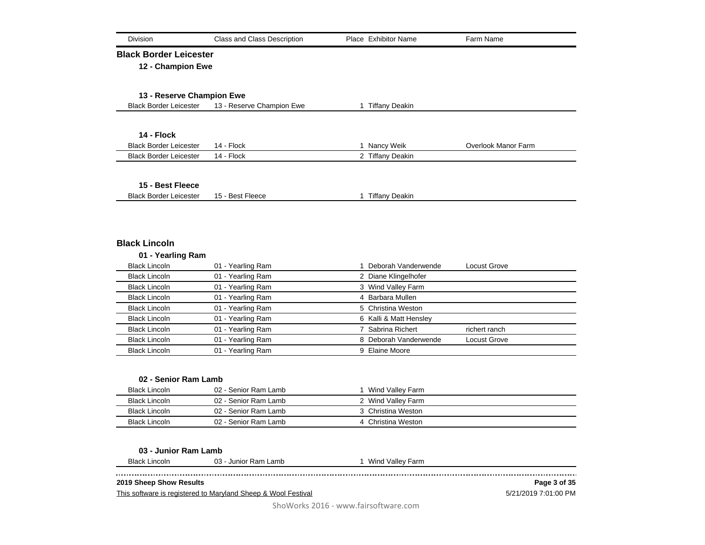| Division                      | Class and Class Description | Place Exhibitor Name   | Farm Name                  |
|-------------------------------|-----------------------------|------------------------|----------------------------|
| <b>Black Border Leicester</b> |                             |                        |                            |
| 12 - Champion Ewe             |                             |                        |                            |
|                               |                             |                        |                            |
| 13 - Reserve Champion Ewe     |                             |                        |                            |
| <b>Black Border Leicester</b> | 13 - Reserve Champion Ewe   | 1 Tiffany Deakin       |                            |
|                               |                             |                        |                            |
| 14 - Flock                    |                             |                        |                            |
| <b>Black Border Leicester</b> | 14 - Flock                  | 1 Nancy Weik           | <b>Overlook Manor Farm</b> |
| <b>Black Border Leicester</b> | 14 - Flock                  | 2 Tiffany Deakin       |                            |
|                               |                             |                        |                            |
| 15 - Best Fleece              |                             |                        |                            |
| <b>Black Border Leicester</b> | 15 - Best Fleece            | 1 Tiffany Deakin       |                            |
|                               |                             |                        |                            |
|                               |                             |                        |                            |
|                               |                             |                        |                            |
| <b>Black Lincoln</b>          |                             |                        |                            |
| 01 - Yearling Ram             |                             |                        |                            |
| <b>Black Lincoln</b>          | 01 - Yearling Ram           | 1 Deborah Vanderwende  | Locust Grove               |
| <b>Black Lincoln</b>          | 01 - Yearling Ram           | 2 Diane Klingelhofer   |                            |
| <b>Black Lincoln</b>          | 01 - Yearling Ram           | 3 Wind Valley Farm     |                            |
| <b>Black Lincoln</b>          | 01 - Yearling Ram           | 4 Barbara Mullen       |                            |
| <b>Black Lincoln</b>          | 01 - Yearling Ram           | 5 Christina Weston     |                            |
| <b>Black Lincoln</b>          | 01 - Yearling Ram           | 6 Kalli & Matt Hensley |                            |
| <b>Black Lincoln</b>          | 01 - Yearling Ram           | 7 Sabrina Richert      | richert ranch              |
| <b>Black Lincoln</b>          | 01 - Yearling Ram           | 8 Deborah Vanderwende  | Locust Grove               |
| <b>Black Lincoln</b>          | 01 - Yearling Ram           | 9 Elaine Moore         |                            |
|                               |                             |                        |                            |
|                               |                             |                        |                            |
| 02 - Senior Ram Lamb          |                             |                        |                            |
| <b>Black Lincoln</b>          | 02 - Senior Ram Lamb        | 1 Wind Valley Farm     |                            |
| <b>Black Lincoln</b>          | 02 - Senior Ram Lamb        | 2 Wind Valley Farm     |                            |
| <b>Black Lincoln</b>          | 02 - Senior Ram Lamb        | 3 Christina Weston     |                            |
| <b>Black Lincoln</b>          | 02 - Senior Ram Lamb        | 4 Christina Weston     |                            |
|                               |                             |                        |                            |
| 03 - Junior Ram Lamb          |                             |                        |                            |
| <b>Black Lincoln</b>          | 03 - Junior Ram Lamb        | 1 Wind Valley Farm     |                            |
| 2019 Sheep Show Results       |                             |                        | Page 3 of 35               |

This software is registered to Maryland Sheep & Wool Festival

5/21/2019 7:01:00 PM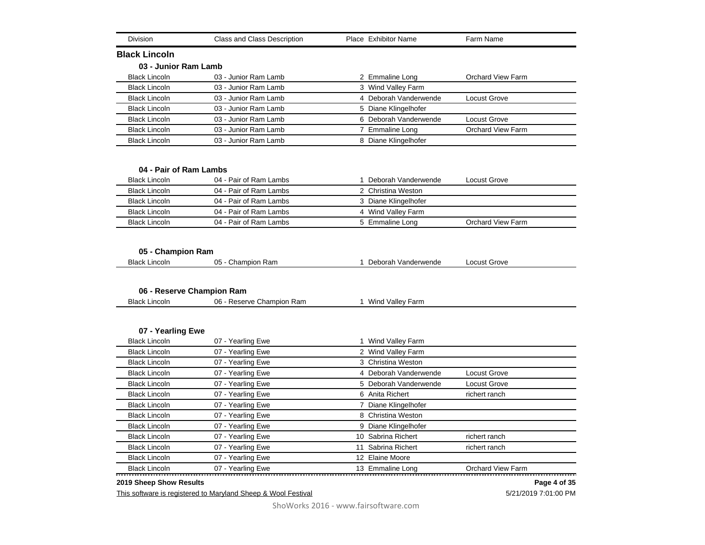| Division                                                          | <b>Class and Class Description</b>                     | Place Exhibitor Name                     |                          |
|-------------------------------------------------------------------|--------------------------------------------------------|------------------------------------------|--------------------------|
| <b>Black Lincoln</b>                                              |                                                        |                                          |                          |
| 03 - Junior Ram Lamb                                              |                                                        |                                          |                          |
| <b>Black Lincoln</b>                                              | 03 - Junior Ram Lamb                                   | 2 Emmaline Long                          | <b>Orchard View Farm</b> |
| <b>Black Lincoln</b>                                              | 03 - Junior Ram Lamb                                   | 3 Wind Valley Farm                       |                          |
| <b>Black Lincoln</b>                                              | 03 - Junior Ram Lamb                                   | 4 Deborah Vanderwende                    | Locust Grove             |
| <b>Black Lincoln</b>                                              | 03 - Junior Ram Lamb                                   | 5 Diane Klingelhofer                     |                          |
| <b>Black Lincoln</b>                                              | 03 - Junior Ram Lamb                                   | 6 Deborah Vanderwende                    | Locust Grove             |
| <b>Black Lincoln</b>                                              | 03 - Junior Ram Lamb                                   | 7 Emmaline Long                          | <b>Orchard View Farm</b> |
| <b>Black Lincoln</b>                                              | 03 - Junior Ram Lamb                                   | 8 Diane Klingelhofer                     |                          |
| 04 - Pair of Ram Lambs                                            |                                                        |                                          |                          |
| <b>Black Lincoln</b>                                              | 04 - Pair of Ram Lambs                                 | 1 Deborah Vanderwende                    | <b>Locust Grove</b>      |
| <b>Black Lincoln</b>                                              | 04 - Pair of Ram Lambs                                 | 2 Christina Weston                       |                          |
| <b>Black Lincoln</b>                                              | 04 - Pair of Ram Lambs                                 | 3 Diane Klingelhofer                     |                          |
| <b>Black Lincoln</b>                                              | 04 - Pair of Ram Lambs                                 | 4 Wind Valley Farm                       |                          |
|                                                                   | 04 - Pair of Ram Lambs                                 | 5 Emmaline Long                          | <b>Orchard View Farm</b> |
| <b>Black Lincoln</b><br>05 - Champion Ram<br><b>Black Lincoln</b> | 05 - Champion Ram                                      | 1 Deborah Vanderwende                    | Locust Grove             |
|                                                                   |                                                        |                                          |                          |
| <b>Black Lincoln</b>                                              | 06 - Reserve Champion Ram<br>06 - Reserve Champion Ram | 1 Wind Valley Farm                       |                          |
|                                                                   |                                                        |                                          |                          |
| 07 - Yearling Ewe<br><b>Black Lincoln</b>                         | 07 - Yearling Ewe                                      |                                          |                          |
|                                                                   |                                                        | 1 Wind Valley Farm                       |                          |
| <b>Black Lincoln</b><br><b>Black Lincoln</b>                      | 07 - Yearling Ewe<br>07 - Yearling Ewe                 | 2 Wind Valley Farm<br>3 Christina Weston |                          |
| <b>Black Lincoln</b>                                              | 07 - Yearling Ewe                                      | 4 Deborah Vanderwende                    | Locust Grove             |
| <b>Black Lincoln</b>                                              | 07 - Yearling Ewe                                      | 5 Deborah Vanderwende                    | <b>Locust Grove</b>      |
| <b>Black Lincoln</b>                                              | 07 - Yearling Ewe                                      | 6 Anita Richert                          | richert ranch            |
| <b>Black Lincoln</b>                                              | 07 - Yearling Ewe                                      | 7 Diane Klingelhofer                     |                          |
| <b>Black Lincoln</b>                                              | 07 - Yearling Ewe                                      | 8 Christina Weston                       |                          |
| <b>Black Lincoln</b>                                              | 07 - Yearling Ewe                                      | 9 Diane Klingelhofer                     |                          |
| <b>Black Lincoln</b>                                              | 07 - Yearling Ewe                                      | 10 Sabrina Richert                       | richert ranch            |
| <b>Black Lincoln</b>                                              | 07 - Yearling Ewe                                      | 11 Sabrina Richert                       | richert ranch            |
| <b>Black Lincoln</b>                                              | 07 - Yearling Ewe                                      | 12 Elaine Moore                          |                          |

## **2019 Sheep Show Results**

This software is registered to Maryland Sheep & Wool Festival

5/21/2019 7:01:00 PM **Page 4 of 35**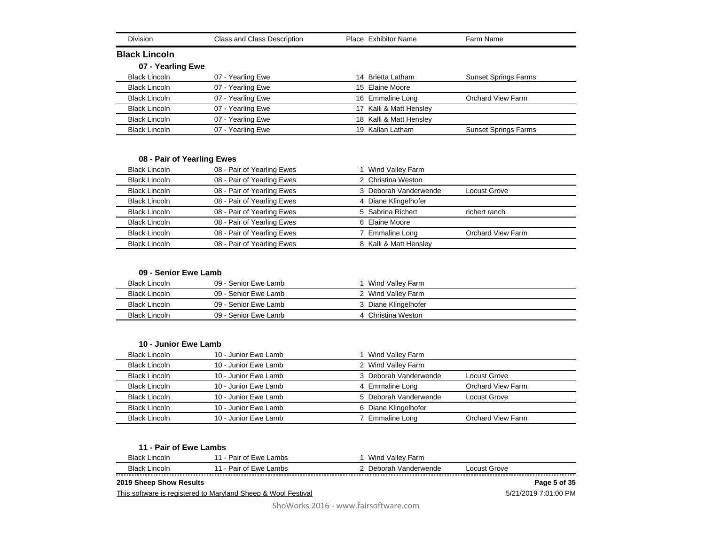| <b>Division</b>      | Class and Class Description | Place Exhibitor Name        | Farm Name                   |
|----------------------|-----------------------------|-----------------------------|-----------------------------|
| <b>Black Lincoln</b> |                             |                             |                             |
| 07 - Yearling Ewe    |                             |                             |                             |
| <b>Black Lincoln</b> | 07 - Yearling Ewe           | <b>Brietta Latham</b><br>14 | <b>Sunset Springs Farms</b> |
| <b>Black Lincoln</b> | 07 - Yearling Ewe           | 15 Elaine Moore             |                             |
| <b>Black Lincoln</b> | 07 - Yearling Ewe           | 16 Emmaline Long            | Orchard View Farm           |
| <b>Black Lincoln</b> | 07 - Yearling Ewe           | Kalli & Matt Hensley<br>17  |                             |
| <b>Black Lincoln</b> | 07 - Yearling Ewe           | 18 Kalli & Matt Hensley     |                             |
| <b>Black Lincoln</b> | 07 - Yearling Ewe           | Kallan Latham<br>19         | <b>Sunset Springs Farms</b> |

## **08 - Pair of Yearling Ewes**

| <b>Black Lincoln</b> | 08 - Pair of Yearling Ewes | Wind Valley Farm       |                          |
|----------------------|----------------------------|------------------------|--------------------------|
| <b>Black Lincoln</b> | 08 - Pair of Yearling Ewes | 2 Christina Weston     |                          |
| <b>Black Lincoln</b> | 08 - Pair of Yearling Ewes | 3 Deborah Vanderwende  | Locust Grove             |
| <b>Black Lincoln</b> | 08 - Pair of Yearling Ewes | 4 Diane Klingelhofer   |                          |
| <b>Black Lincoln</b> | 08 - Pair of Yearling Ewes | 5 Sabrina Richert      | richert ranch            |
| <b>Black Lincoln</b> | 08 - Pair of Yearling Ewes | 6 Elaine Moore         |                          |
| <b>Black Lincoln</b> | 08 - Pair of Yearling Ewes | Emmaline Long          | <b>Orchard View Farm</b> |
| <b>Black Lincoln</b> | 08 - Pair of Yearling Ewes | 8 Kalli & Matt Hensley |                          |

## **09 - Senior Ewe Lamb**

| Black Lincoln | 09 - Senior Ewe Lamb | Wind Valley Farm     |  |
|---------------|----------------------|----------------------|--|
| Black Lincoln | 09 - Senior Ewe Lamb | 2 Wind Valley Farm   |  |
| Black Lincoln | 09 - Senior Ewe Lamb | 3 Diane Klingelhofer |  |
| Black Lincoln | 09 - Senior Ewe Lamb | 4 Christina Weston   |  |

## **10 - Junior Ewe Lamb**

| Black Lincoln        | 10 - Junior Ewe Lamb | 1 Wind Valley Farm    |                   |
|----------------------|----------------------|-----------------------|-------------------|
| <b>Black Lincoln</b> | 10 - Junior Ewe Lamb | 2 Wind Valley Farm    |                   |
| <b>Black Lincoln</b> | 10 - Junior Ewe Lamb | 3 Deborah Vanderwende | Locust Grove      |
| <b>Black Lincoln</b> | 10 - Junior Ewe Lamb | 4 Emmaline Long       | Orchard View Farm |
| <b>Black Lincoln</b> | 10 - Junior Ewe Lamb | 5 Deborah Vanderwende | Locust Grove      |
| <b>Black Lincoln</b> | 10 - Junior Ewe Lamb | 6 Diane Klingelhofer  |                   |
| <b>Black Lincoln</b> | 10 - Junior Ewe Lamb | Emmaline Long         | Orchard View Farm |

| 11 - Pair of Ewe Lambs                                        |                        |                       |                      |
|---------------------------------------------------------------|------------------------|-----------------------|----------------------|
| Black Lincoln                                                 | 11 - Pair of Ewe Lambs | Wind Vallev Farm      |                      |
| Black Lincoln                                                 | 11 - Pair of Ewe Lambs | 2 Deborah Vanderwende | Locust Grove         |
| 2019 Sheep Show Results                                       |                        |                       | Page 5 of 35         |
| This software is registered to Maryland Sheep & Wool Festival |                        |                       | 5/21/2019 7:01:00 PM |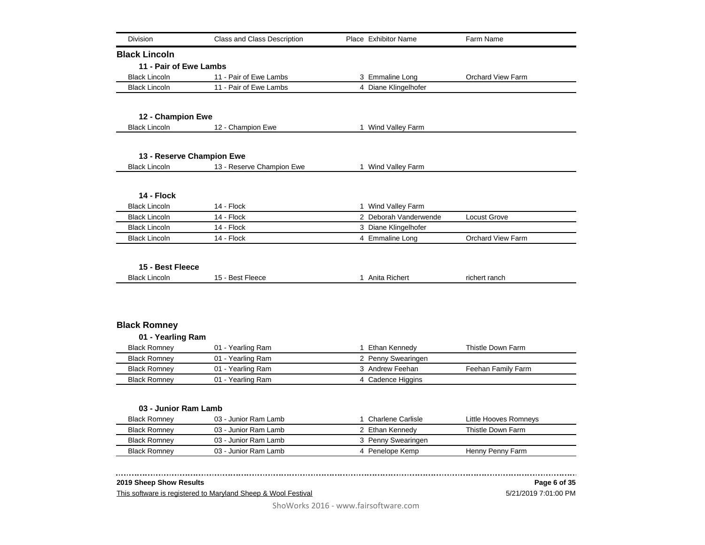| <b>Division</b>                            | <b>Class and Class Description</b>           | Place Exhibitor Name                  | Farm Name                |
|--------------------------------------------|----------------------------------------------|---------------------------------------|--------------------------|
| <b>Black Lincoln</b>                       |                                              |                                       |                          |
| 11 - Pair of Ewe Lambs                     |                                              |                                       |                          |
| <b>Black Lincoln</b>                       | 11 - Pair of Ewe Lambs                       | 3 Emmaline Long                       | <b>Orchard View Farm</b> |
| <b>Black Lincoln</b>                       | 11 - Pair of Ewe Lambs                       | 4 Diane Klingelhofer                  |                          |
| 12 - Champion Ewe                          |                                              |                                       |                          |
| <b>Black Lincoln</b>                       | 12 - Champion Ewe                            | 1 Wind Valley Farm                    |                          |
| 13 - Reserve Champion Ewe                  |                                              |                                       |                          |
| <b>Black Lincoln</b>                       | 13 - Reserve Champion Ewe                    | 1 Wind Valley Farm                    |                          |
| 14 - Flock                                 |                                              |                                       |                          |
| <b>Black Lincoln</b>                       | 14 - Flock                                   | 1 Wind Valley Farm                    |                          |
| <b>Black Lincoln</b>                       | 14 - Flock                                   | 2 Deborah Vanderwende                 | <b>Locust Grove</b>      |
| <b>Black Lincoln</b>                       | 14 - Flock                                   | 3 Diane Klingelhofer                  |                          |
| <b>Black Lincoln</b>                       | 14 - Flock                                   | 4 Emmaline Long                       | <b>Orchard View Farm</b> |
| 15 - Best Fleece                           |                                              |                                       |                          |
| <b>Black Lincoln</b>                       | 15 - Best Fleece                             | 1 Anita Richert                       | richert ranch            |
|                                            |                                              |                                       |                          |
| <b>Black Romney</b>                        |                                              |                                       |                          |
| 01 - Yearling Ram                          |                                              |                                       |                          |
| <b>Black Romney</b>                        | 01 - Yearling Ram                            | 1 Ethan Kennedy                       | Thistle Down Farm        |
| <b>Black Romney</b>                        | 01 - Yearling Ram                            | 2 Penny Swearingen                    |                          |
| <b>Black Romney</b>                        | 01 - Yearling Ram                            | 3 Andrew Feehan                       | Feehan Family Farm       |
|                                            |                                              |                                       |                          |
| <b>Black Romney</b>                        | 01 - Yearling Ram                            | 4 Cadence Higgins                     |                          |
|                                            |                                              |                                       |                          |
| 03 - Junior Ram Lamb                       |                                              |                                       |                          |
| <b>Black Romney</b>                        | 03 - Junior Ram Lamb                         | 1 Charlene Carlisle                   | Little Hooves Romneys    |
| <b>Black Romney</b><br><b>Black Romney</b> | 03 - Junior Ram Lamb<br>03 - Junior Ram Lamb | 2 Ethan Kennedy<br>3 Penny Swearingen | Thistle Down Farm        |

 $\sim$   $\sim$   $\sim$   $\sim$   $\sim$ 

This software is registered to Maryland Sheep & Wool Festival

## 5/21/2019 7:01:00 PM **Page 6 of 35**

------------------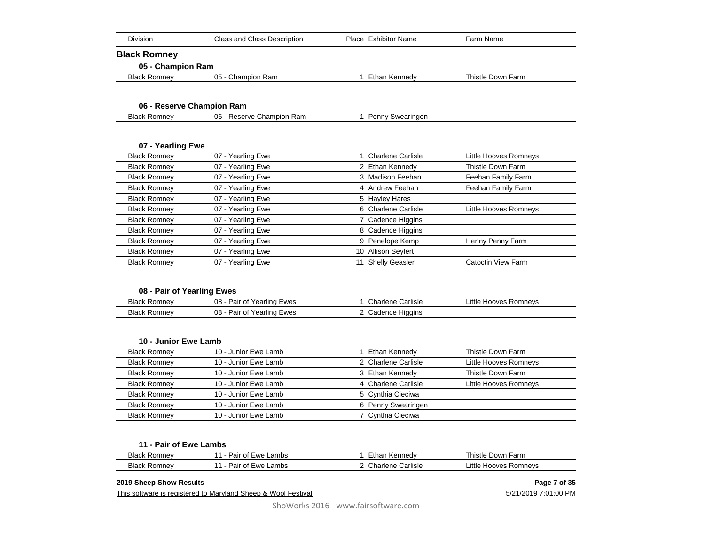| <b>Division</b>           | Class and Class Description | Place Exhibitor Name     | Farm Name                 |
|---------------------------|-----------------------------|--------------------------|---------------------------|
| <b>Black Romney</b>       |                             |                          |                           |
| 05 - Champion Ram         |                             |                          |                           |
| <b>Black Romney</b>       | 05 - Champion Ram           | 1 Ethan Kennedy          | Thistle Down Farm         |
|                           |                             |                          |                           |
| 06 - Reserve Champion Ram |                             |                          |                           |
| <b>Black Romney</b>       | 06 - Reserve Champion Ram   | 1 Penny Swearingen       |                           |
|                           |                             |                          |                           |
| 07 - Yearling Ewe         |                             |                          |                           |
| <b>Black Romney</b>       | 07 - Yearling Ewe           | <b>Charlene Carlisle</b> | Little Hooves Romneys     |
| <b>Black Romney</b>       | 07 - Yearling Ewe           | 2 Ethan Kennedy          | Thistle Down Farm         |
| <b>Black Romney</b>       | 07 - Yearling Ewe           | 3 Madison Feehan         | Feehan Family Farm        |
| <b>Black Romney</b>       | 07 - Yearling Ewe           | 4 Andrew Feehan          | Feehan Family Farm        |
| <b>Black Romney</b>       | 07 - Yearling Ewe           | 5 Hayley Hares           |                           |
| <b>Black Romney</b>       | 07 - Yearling Ewe           | 6 Charlene Carlisle      | Little Hooves Romneys     |
| <b>Black Romney</b>       | 07 - Yearling Ewe           | 7 Cadence Higgins        |                           |
| <b>Black Romney</b>       | 07 - Yearling Ewe           | 8 Cadence Higgins        |                           |
| <b>Black Romney</b>       | 07 - Yearling Ewe           | 9 Penelope Kemp          | Henny Penny Farm          |
| <b>Black Romney</b>       | 07 - Yearling Ewe           | 10 Allison Seyfert       |                           |
| <b>Black Romney</b>       | 07 - Yearling Ewe           | 11 Shelly Geasler        | <b>Catoctin View Farm</b> |

## **08 - Pair of Yearling Ewes**

| <b>Black</b>           | 08                                 | <b>Charlene Carlisle</b> | .ittle                |
|------------------------|------------------------------------|--------------------------|-----------------------|
| Romnev                 | Pair of Yearling Ewes              |                          | <b>Hooves Romneys</b> |
| <b>Black</b><br>Romnev | 08<br>'Yearling Ewes<br>Pair<br>Οt | Higgins<br>Cadence       |                       |

#### **10 - Junior Ewe Lamb**

| <b>Black Romney</b> | 10 - Junior Ewe Lamb | Ethan Kennedy       | Thistle Down Farm     |
|---------------------|----------------------|---------------------|-----------------------|
| <b>Black Romney</b> | 10 - Junior Ewe Lamb | 2 Charlene Carlisle | Little Hooves Romneys |
| <b>Black Romney</b> | 10 - Junior Ewe Lamb | 3 Ethan Kennedy     | Thistle Down Farm     |
| <b>Black Romney</b> | 10 - Junior Ewe Lamb | 4 Charlene Carlisle | Little Hooves Romneys |
| <b>Black Romney</b> | 10 - Junior Ewe Lamb | 5 Cynthia Cieciwa   |                       |
| <b>Black Romney</b> | 10 - Junior Ewe Lamb | 6 Penny Swearingen  |                       |
| <b>Black Romney</b> | 10 - Junior Ewe Lamb | 7 Cynthia Cieciwa   |                       |

|  |  |  |  | 11 - Pair of Ewe Lambs |
|--|--|--|--|------------------------|
|--|--|--|--|------------------------|

| <b>Blac</b>                      | ۱۸/۵<br>_ambs<br>$\mathbf{12}$<br>ar<br>$\tilde{\phantom{a}}$ | arm.         |
|----------------------------------|---------------------------------------------------------------|--------------|
| <b>Blac</b>                      | .181C<br>$\mathbf{a}$<br>_ambs<br>ar                          | ittle<br>``` |
| -------------------------------- |                                                               |              |

#### **2019 Sheep Show Results**

This software is registered to Maryland Sheep & Wool Festival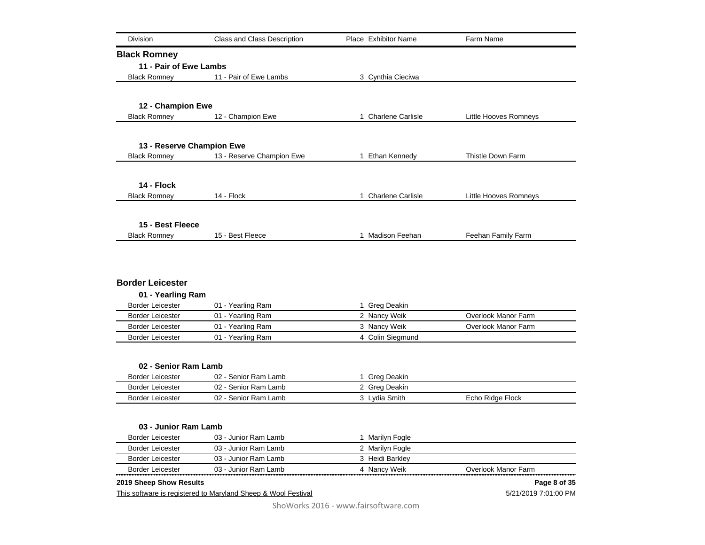| <b>Division</b>           | Class and Class Description | Place Exhibitor Name | Farm Name             |
|---------------------------|-----------------------------|----------------------|-----------------------|
|                           |                             |                      |                       |
| <b>Black Romney</b>       |                             |                      |                       |
| 11 - Pair of Ewe Lambs    |                             |                      |                       |
| <b>Black Romney</b>       | 11 - Pair of Ewe Lambs      | 3 Cynthia Cieciwa    |                       |
|                           |                             |                      |                       |
| 12 - Champion Ewe         |                             |                      |                       |
| <b>Black Romney</b>       | 12 - Champion Ewe           | 1 Charlene Carlisle  | Little Hooves Romneys |
|                           |                             |                      |                       |
| 13 - Reserve Champion Ewe |                             |                      |                       |
| <b>Black Romney</b>       | 13 - Reserve Champion Ewe   | 1 Ethan Kennedy      | Thistle Down Farm     |
|                           |                             |                      |                       |
|                           |                             |                      |                       |
| 14 - Flock                |                             |                      |                       |
| <b>Black Romney</b>       | 14 - Flock                  | 1 Charlene Carlisle  | Little Hooves Romneys |
|                           |                             |                      |                       |
| 15 - Best Fleece          |                             |                      |                       |
| <b>Black Romney</b>       | 15 - Best Fleece            | 1 Madison Feehan     | Feehan Family Farm    |
|                           |                             |                      |                       |
| <b>Border Leicester</b>   |                             |                      |                       |
| 01 - Yearling Ram         |                             |                      |                       |
| <b>Border Leicester</b>   | 01 - Yearling Ram           | 1 Greg Deakin        |                       |
| <b>Border Leicester</b>   | 01 - Yearling Ram           | 2 Nancy Weik         | Overlook Manor Farm   |
| <b>Border Leicester</b>   | 01 - Yearling Ram           | 3 Nancy Weik         | Overlook Manor Farm   |
| <b>Border Leicester</b>   | 01 - Yearling Ram           | 4 Colin Siegmund     |                       |
|                           |                             |                      |                       |
| 02 - Senior Ram Lamb      |                             |                      |                       |
| <b>Border Leicester</b>   | 02 - Senior Ram Lamb        | 1 Greg Deakin        |                       |
| <b>Border Leicester</b>   | 02 - Senior Ram Lamb        | 2 Greg Deakin        |                       |
| <b>Border Leicester</b>   | 02 - Senior Ram Lamb        | 3 Lydia Smith        | Echo Ridge Flock      |
|                           |                             |                      |                       |
| 03 - Junior Ram Lamb      |                             |                      |                       |
| <b>Border Leicester</b>   | 03 - Junior Ram Lamb        | 1 Marilyn Fogle      |                       |
| <b>Border Leicester</b>   | 03 - Junior Ram Lamb        | 2 Marilyn Fogle      |                       |
| <b>Border Leicester</b>   | 03 - Junior Ram Lamb        | 3 Heidi Barkley      |                       |
| <b>Border Leicester</b>   | 03 - Junior Ram Lamb        | 4 Nancy Weik         | Overlook Manor Farm   |
| 2019 Sheep Show Results   |                             |                      | Page 8 of 35          |

This software is registered to Maryland Sheep & Wool Festival

5/21/2019 7:01:00 PM **Page 8 of 35**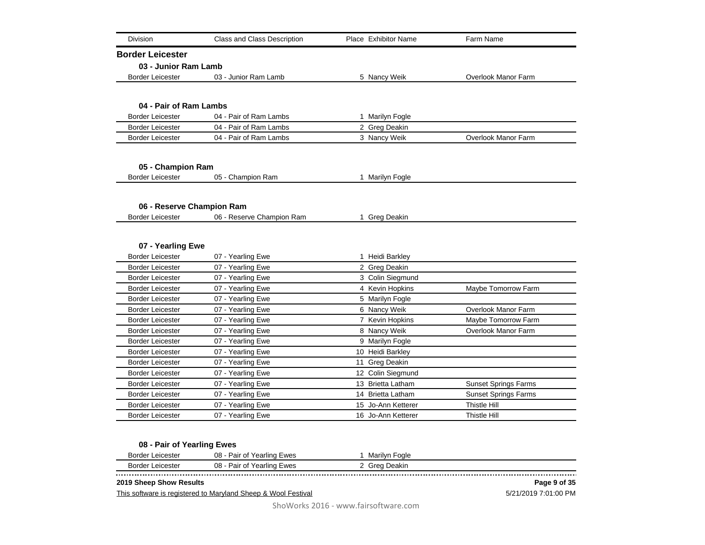| <b>Division</b>                              | <b>Class and Class Description</b> | Place Exhibitor Name | Farm Name                   |
|----------------------------------------------|------------------------------------|----------------------|-----------------------------|
| <b>Border Leicester</b>                      |                                    |                      |                             |
| 03 - Junior Ram Lamb                         |                                    |                      |                             |
| <b>Border Leicester</b>                      | 03 - Junior Ram Lamb               | 5 Nancy Weik         | Overlook Manor Farm         |
|                                              |                                    |                      |                             |
| 04 - Pair of Ram Lambs                       |                                    |                      |                             |
| <b>Border Leicester</b>                      | 04 - Pair of Ram Lambs             | 1 Marilyn Fogle      |                             |
| <b>Border Leicester</b>                      | 04 - Pair of Ram Lambs             | 2 Greg Deakin        |                             |
| <b>Border Leicester</b>                      | 04 - Pair of Ram Lambs             | 3 Nancy Weik         | Overlook Manor Farm         |
|                                              |                                    |                      |                             |
| 05 - Champion Ram                            |                                    |                      |                             |
| <b>Border Leicester</b>                      | 05 - Champion Ram                  | 1 Marilyn Fogle      |                             |
|                                              |                                    |                      |                             |
| 06 - Reserve Champion Ram                    |                                    |                      |                             |
| <b>Border Leicester</b>                      | 06 - Reserve Champion Ram          | 1 Greg Deakin        |                             |
| 07 - Yearling Ewe<br><b>Border Leicester</b> | 07 - Yearling Ewe                  | 1 Heidi Barkley      |                             |
|                                              |                                    |                      |                             |
| <b>Border Leicester</b>                      | 07 - Yearling Ewe                  | 2 Greg Deakin        |                             |
| <b>Border Leicester</b>                      | 07 - Yearling Ewe                  | 3 Colin Siegmund     |                             |
| <b>Border Leicester</b>                      | 07 - Yearling Ewe                  | 4 Kevin Hopkins      | Maybe Tomorrow Farm         |
| <b>Border Leicester</b>                      | 07 - Yearling Ewe                  | 5 Marilyn Fogle      |                             |
| <b>Border Leicester</b>                      | 07 - Yearling Ewe                  | 6 Nancy Weik         | Overlook Manor Farm         |
| <b>Border Leicester</b>                      | 07 - Yearling Ewe                  | 7 Kevin Hopkins      | Maybe Tomorrow Farm         |
| <b>Border Leicester</b>                      | 07 - Yearling Ewe                  | 8 Nancy Weik         | Overlook Manor Farm         |
| <b>Border Leicester</b>                      | 07 - Yearling Ewe                  | 9 Marilyn Fogle      |                             |
| <b>Border Leicester</b>                      | 07 - Yearling Ewe                  | 10 Heidi Barkley     |                             |
|                                              | 07 - Yearling Ewe                  | 11 Greg Deakin       |                             |
| <b>Border Leicester</b>                      |                                    |                      |                             |
| <b>Border Leicester</b>                      | 07 - Yearling Ewe                  | 12 Colin Siegmund    |                             |
| <b>Border Leicester</b>                      | 07 - Yearling Ewe                  | 13 Brietta Latham    | <b>Sunset Springs Farms</b> |
| <b>Border Leicester</b>                      | 07 - Yearling Ewe                  | 14 Brietta Latham    | <b>Sunset Springs Farms</b> |
| <b>Border Leicester</b>                      | 07 - Yearling Ewe                  | 15 Jo-Ann Ketterer   | Thistle Hill                |

## **08 - Pair of Yearling Ewes**

| `` | 08<br>$-111Q'$<br>∍ • • • •<br>.lin⁄<br>aı<br>v | oale<br>'ll\/r |  |
|----|-------------------------------------------------|----------------|--|
| ∼  | 08<br>1870-<br>$\sim$<br>un′.                   | ٦МН.           |  |
|    |                                                 |                |  |
|    |                                                 |                |  |

## **2019 Sheep Show Results**

This software is registered to Maryland Sheep & Wool Festival

5/21/2019 7:01:00 PM **Page 9 of 35**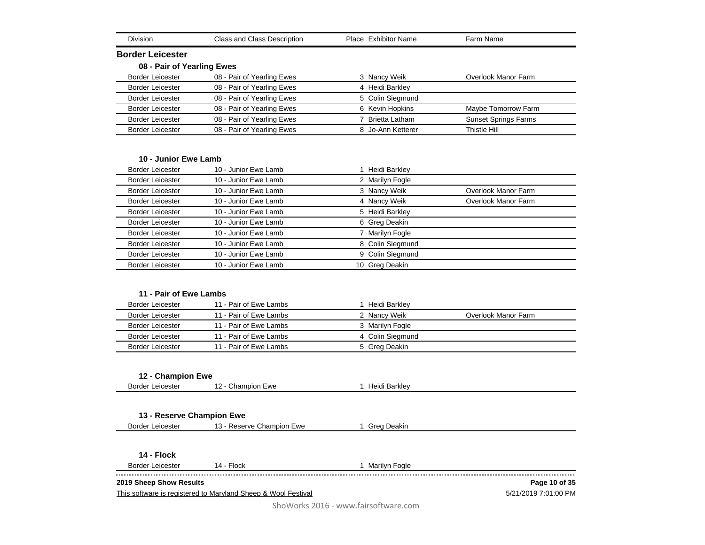| Division                                          | Class and Class Description                                   | Place Exhibitor Name | Farm Name                   |
|---------------------------------------------------|---------------------------------------------------------------|----------------------|-----------------------------|
| <b>Border Leicester</b>                           |                                                               |                      |                             |
| 08 - Pair of Yearling Ewes                        |                                                               |                      |                             |
| Border Leicester                                  | 08 - Pair of Yearling Ewes                                    | 3 Nancy Weik         | Overlook Manor Farm         |
| <b>Border Leicester</b>                           | 08 - Pair of Yearling Ewes                                    | 4 Heidi Barkley      |                             |
| <b>Border Leicester</b>                           | 08 - Pair of Yearling Ewes                                    | 5 Colin Siegmund     |                             |
| <b>Border Leicester</b>                           | 08 - Pair of Yearling Ewes                                    | 6 Kevin Hopkins      | Maybe Tomorrow Farm         |
| <b>Border Leicester</b>                           | 08 - Pair of Yearling Ewes                                    | 7 Brietta Latham     | <b>Sunset Springs Farms</b> |
| <b>Border Leicester</b>                           | 08 - Pair of Yearling Ewes                                    | 8 Jo-Ann Ketterer    | Thistle Hill                |
| 10 - Junior Ewe Lamb                              |                                                               |                      |                             |
| <b>Border Leicester</b>                           | 10 - Junior Ewe Lamb                                          | 1 Heidi Barkley      |                             |
| <b>Border Leicester</b>                           | 10 - Junior Ewe Lamb                                          | 2 Marilyn Fogle      |                             |
| <b>Border Leicester</b>                           | 10 - Junior Ewe Lamb                                          | 3 Nancy Weik         | <b>Overlook Manor Farm</b>  |
| <b>Border Leicester</b>                           | 10 - Junior Ewe Lamb                                          | 4 Nancy Weik         | Overlook Manor Farm         |
| <b>Border Leicester</b>                           | 10 - Junior Ewe Lamb                                          | 5 Heidi Barkley      |                             |
| <b>Border Leicester</b>                           | 10 - Junior Ewe Lamb                                          | 6 Greg Deakin        |                             |
| <b>Border Leicester</b>                           | 10 - Junior Ewe Lamb                                          | 7 Marilyn Fogle      |                             |
| Border Leicester                                  | 10 - Junior Ewe Lamb                                          | 8 Colin Siegmund     |                             |
| <b>Border Leicester</b>                           | 10 - Junior Ewe Lamb                                          | 9 Colin Siegmund     |                             |
| <b>Border Leicester</b>                           | 10 - Junior Ewe Lamb                                          | 10 Greg Deakin       |                             |
| 11 - Pair of Ewe Lambs<br><b>Border Leicester</b> | 11 - Pair of Ewe Lambs                                        | 1 Heidi Barkley      |                             |
| <b>Border Leicester</b>                           | 11 - Pair of Ewe Lambs                                        | 2 Nancy Weik         | Overlook Manor Farm         |
| <b>Border Leicester</b>                           | 11 - Pair of Ewe Lambs                                        | 3 Marilyn Fogle      |                             |
| <b>Border Leicester</b>                           | 11 - Pair of Ewe Lambs                                        | 4 Colin Siegmund     |                             |
| <b>Border Leicester</b>                           | 11 - Pair of Ewe Lambs                                        | 5 Greg Deakin        |                             |
| 12 - Champion Ewe<br><b>Border Leicester</b>      | 12 - Champion Ewe                                             | 1 Heidi Barkley      |                             |
|                                                   |                                                               |                      |                             |
| 13 - Reserve Champion Ewe                         |                                                               |                      |                             |
| Border Leicester                                  | 13 - Reserve Champion Ewe                                     | 1 Greg Deakin        |                             |
| 14 - Flock                                        |                                                               |                      |                             |
| <b>Border Leicester</b>                           | 14 - Flock                                                    | 1 Marilyn Fogle      |                             |
| 2019 Sheep Show Results                           |                                                               |                      | Page 10 of 35               |
|                                                   | This software is registered to Maryland Sheep & Wool Festival |                      | 5/21/2019 7:01:00 PM        |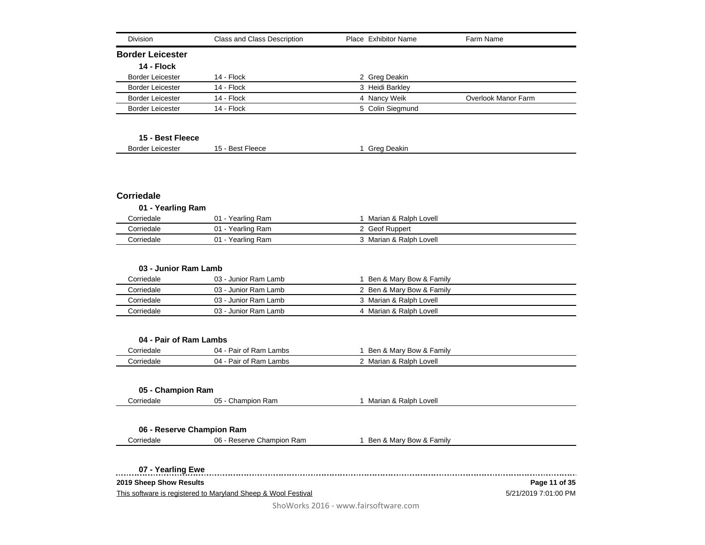| <b>Division</b>         | Class and Class Description | Place Exhibitor Name | Farm Name           |
|-------------------------|-----------------------------|----------------------|---------------------|
| <b>Border Leicester</b> |                             |                      |                     |
| 14 - Flock              |                             |                      |                     |
| <b>Border Leicester</b> | $14 - Flock$                | 2 Greg Deakin        |                     |
| <b>Border Leicester</b> | 14 - Flock                  | 3 Heidi Barkley      |                     |
| <b>Border Leicester</b> | $14 - Flock$                | 4 Nancy Weik         | Overlook Manor Farm |
| <b>Border Leicester</b> | 14 - Flock                  | 5 Colin Siegmund     |                     |
| 15 - Best Fleece        |                             |                      |                     |
| <b>Border Leicester</b> | 15 - Best Fleece            | Greg Deakin          |                     |

## **Corriedale**

| 01 - Yearling Ram |                   |                         |  |
|-------------------|-------------------|-------------------------|--|
| Corriedale        | 01 - Yearling Ram | Marian & Ralph Lovell   |  |
| Corriedale        | 01 - Yearling Ram | 2 Geof Ruppert          |  |
| Corriedale        | 01 - Yearling Ram | 3 Marian & Ralph Lovell |  |

| 03 - Junior Ram Lamb |                      |                           |  |
|----------------------|----------------------|---------------------------|--|
| Corriedale           | 03 - Junior Ram Lamb | Ben & Marv Bow & Family   |  |
| Corriedale           | 03 - Junior Ram Lamb | 2 Ben & Mary Bow & Family |  |
| Corriedale           | 03 - Junior Ram Lamb | 3 Marian & Ralph Lovell   |  |
| Corriedale           | 03 - Junior Ram Lamb | 4 Marian & Ralph Lovell   |  |

#### **04 - Pair of Ram Lambs**

| Corriedale | 04<br>Ram<br>Lambs<br>$\cdot$<br>$\sim$<br>ʻdli<br>υı | Familv<br>Ben<br>& Marv <sup>r</sup><br>∵Bow & I |  |
|------------|-------------------------------------------------------|--------------------------------------------------|--|
| Corriedale | 04<br>Doir<br>Ram<br>Lambs<br>01<br>'aır              | Lovell<br>&Ralph ′<br>Marian                     |  |

## **05 - Champion Ram**

Corriedale **2008** 05 - Champion Ram 1 Marian & Ralph Lovell

## **06 - Reserve Champion Ram**

Corriedale **2008** - Corriedale **1 Ben & Mary Bow & Family** 

**07 - Yearling Ewe**

**2019 Sheep Show Results**

 $\sim$ 

This software is registered to Maryland Sheep & Wool Festival

5/21/2019 7:01:00 PM **Page 11 of 35**

------------------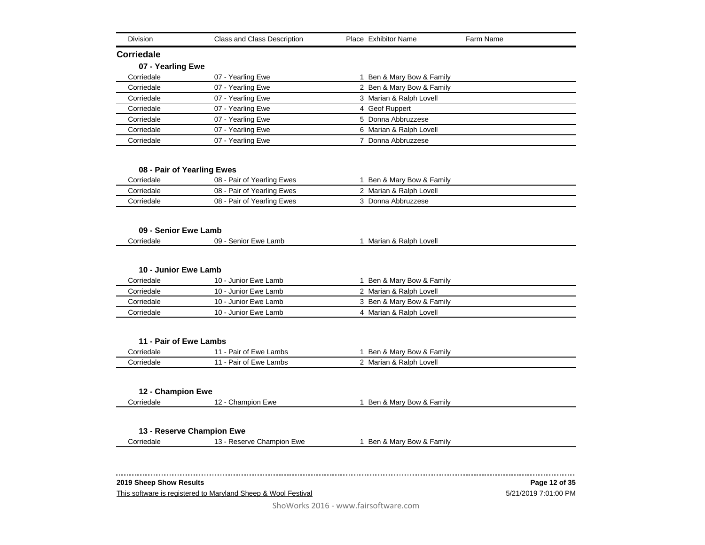| <b>Division</b>         | Class and Class Description | Place Exhibitor Name      | Farm Name     |
|-------------------------|-----------------------------|---------------------------|---------------|
| Corriedale              |                             |                           |               |
| 07 - Yearling Ewe       |                             |                           |               |
| Corriedale              | 07 - Yearling Ewe           | 1 Ben & Mary Bow & Family |               |
| Corriedale              | 07 - Yearling Ewe           | 2 Ben & Mary Bow & Family |               |
| Corriedale              | 07 - Yearling Ewe           | 3 Marian & Ralph Lovell   |               |
| Corriedale              | 07 - Yearling Ewe           | 4 Geof Ruppert            |               |
| Corriedale              | 07 - Yearling Ewe           | 5 Donna Abbruzzese        |               |
| Corriedale              | 07 - Yearling Ewe           | 6 Marian & Ralph Lovell   |               |
| Corriedale              | 07 - Yearling Ewe           | 7 Donna Abbruzzese        |               |
|                         | 08 - Pair of Yearling Ewes  |                           |               |
| Corriedale              | 08 - Pair of Yearling Ewes  | 1 Ben & Mary Bow & Family |               |
| Corriedale              | 08 - Pair of Yearling Ewes  | 2 Marian & Ralph Lovell   |               |
| Corriedale              | 08 - Pair of Yearling Ewes  | 3 Donna Abbruzzese        |               |
|                         |                             |                           |               |
| 09 - Senior Ewe Lamb    |                             |                           |               |
| Corriedale              | 09 - Senior Ewe Lamb        | 1 Marian & Ralph Lovell   |               |
|                         |                             |                           |               |
| 10 - Junior Ewe Lamb    |                             |                           |               |
| Corriedale              | 10 - Junior Ewe Lamb        | 1 Ben & Mary Bow & Family |               |
| Corriedale              | 10 - Junior Ewe Lamb        | 2 Marian & Ralph Lovell   |               |
| Corriedale              | 10 - Junior Ewe Lamb        | 3 Ben & Mary Bow & Family |               |
| Corriedale              | 10 - Junior Ewe Lamb        | 4 Marian & Ralph Lovell   |               |
|                         |                             |                           |               |
|                         |                             |                           |               |
| 11 - Pair of Ewe Lambs  |                             |                           |               |
| Corriedale              | 11 - Pair of Ewe Lambs      | 1 Ben & Mary Bow & Family |               |
| Corriedale              | 11 - Pair of Ewe Lambs      | 2 Marian & Ralph Lovell   |               |
| 12 - Champion Ewe       |                             |                           |               |
| Corriedale              | 12 - Champion Ewe           | 1 Ben & Mary Bow & Family |               |
|                         |                             |                           |               |
|                         | 13 - Reserve Champion Ewe   |                           |               |
| Corriedale              | 13 - Reserve Champion Ewe   | 1 Ben & Mary Bow & Family |               |
|                         |                             |                           |               |
|                         |                             |                           |               |
|                         |                             |                           |               |
| 2019 Sheep Show Results |                             |                           | Page 12 of 35 |

This software is registered to Maryland Sheep & Wool Festival

5/21/2019 7:01:00 PM **Page 12 of 35**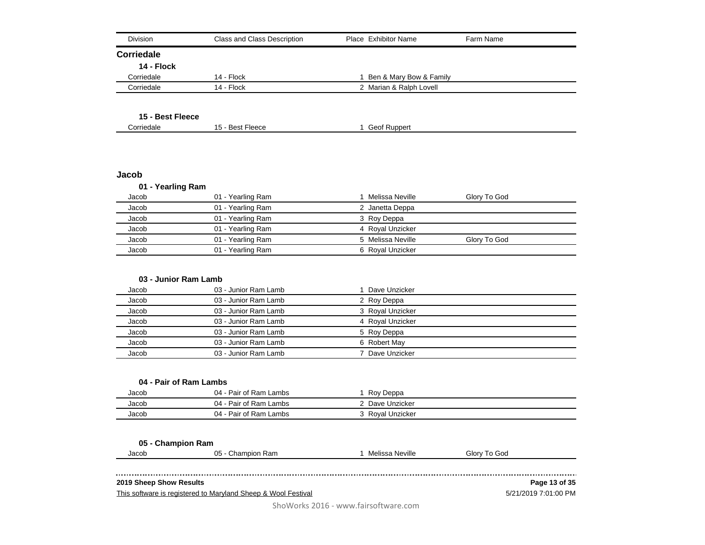| <b>Division</b>        | <b>Class and Class Description</b> | Place Exhibitor Name      | Farm Name    |
|------------------------|------------------------------------|---------------------------|--------------|
| <b>Corriedale</b>      |                                    |                           |              |
| 14 - Flock             |                                    |                           |              |
| Corriedale             | 14 - Flock                         | 1 Ben & Mary Bow & Family |              |
| Corriedale             | 14 - Flock                         | 2 Marian & Ralph Lovell   |              |
|                        |                                    |                           |              |
| 15 - Best Fleece       |                                    |                           |              |
| Corriedale             | 15 - Best Fleece                   | 1 Geof Ruppert            |              |
|                        |                                    |                           |              |
|                        |                                    |                           |              |
| Jacob                  |                                    |                           |              |
| 01 - Yearling Ram      |                                    |                           |              |
| Jacob                  | 01 - Yearling Ram                  | 1 Melissa Neville         | Glory To God |
| Jacob                  | 01 - Yearling Ram                  | 2 Janetta Deppa           |              |
| Jacob                  | 01 - Yearling Ram                  | 3 Roy Deppa               |              |
| Jacob                  | 01 - Yearling Ram                  | 4 Royal Unzicker          |              |
| Jacob                  | 01 - Yearling Ram                  | 5 Melissa Neville         | Glory To God |
| Jacob                  | 01 - Yearling Ram                  | 6 Royal Unzicker          |              |
| 03 - Junior Ram Lamb   |                                    |                           |              |
| Jacob                  | 03 - Junior Ram Lamb               | 1 Dave Unzicker           |              |
| Jacob                  | 03 - Junior Ram Lamb               | 2 Roy Deppa               |              |
| Jacob                  | 03 - Junior Ram Lamb               | 3 Royal Unzicker          |              |
| Jacob                  | 03 - Junior Ram Lamb               | 4 Royal Unzicker          |              |
| Jacob                  | 03 - Junior Ram Lamb               | 5 Roy Deppa               |              |
| Jacob                  | 03 - Junior Ram Lamb               | 6 Robert May              |              |
| Jacob                  | 03 - Junior Ram Lamb               | 7 Dave Unzicker           |              |
|                        |                                    |                           |              |
| 04 - Pair of Ram Lambs |                                    |                           |              |
| Jacob                  | 04 - Pair of Ram Lambs             | 1 Roy Deppa               |              |
| Jacob                  | 04 - Pair of Ram Lambs             | 2 Dave Unzicker           |              |
|                        |                                    |                           |              |

**05 - Champion Ram**

| Jacob<br>. | 05<br>Champ<br>Ram<br>npion | Neville<br><br>Melissa<br>______ | Glorv<br>God<br>$\Omega$ |
|------------|-----------------------------|----------------------------------|--------------------------|
|            |                             |                                  |                          |

## **2019 Sheep Show Results**

 $\sim 100$ 

This software is registered to Maryland Sheep & Wool Festival

5/21/2019 7:01:00 PM **Page 13 of 35**

ShoWorks 2016 - www.fairsoftware.com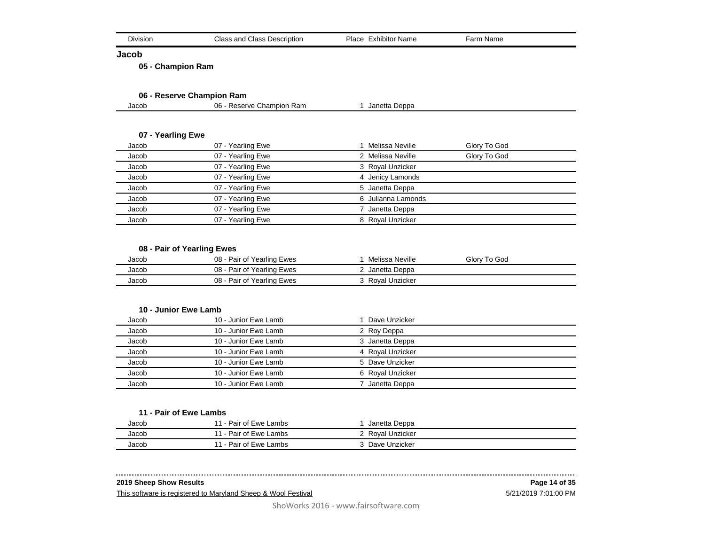| ⊃ivisior<br>$   -$ | <b>Class and Class Description</b> | Place<br><br>Exhibitor Name | $\sim$<br>Name<br>⊤an. |
|--------------------|------------------------------------|-----------------------------|------------------------|
|--------------------|------------------------------------|-----------------------------|------------------------|

**Jacob**

**05 - Champion Ram**

## **06 - Reserve Champion Ram**

| 06 -<br>Reserve Champion Ram<br>Jacob<br>Janetta Deppa |
|--------------------------------------------------------|
|--------------------------------------------------------|

## **07 - Yearling Ewe**

| Jacob | 07 - Yearling Ewe | Melissa Neville    | Glory To God |
|-------|-------------------|--------------------|--------------|
| Jacob | 07 - Yearling Ewe | 2 Melissa Neville  | Glory To God |
| Jacob | 07 - Yearling Ewe | 3 Royal Unzicker   |              |
| Jacob | 07 - Yearling Ewe | 4 Jenicy Lamonds   |              |
| Jacob | 07 - Yearling Ewe | 5 Janetta Deppa    |              |
| Jacob | 07 - Yearling Ewe | 6 Julianna Lamonds |              |
| Jacob | 07 - Yearling Ewe | Janetta Deppa      |              |
| Jacob | 07 - Yearling Ewe | 8 Royal Unzicker   |              |

## **08 - Pair of Yearling Ewes**

| Jacob | 08 - Pair of Yearling Ewes | Melissa Neville  | Glory To God |
|-------|----------------------------|------------------|--------------|
| Jacob | 08 - Pair of Yearling Ewes | ? Janetta Deppa  |              |
| Jacob | 08 - Pair of Yearling Ewes | 3 Royal Unzicker |              |

#### **10 - Junior Ewe Lamb**

| Jacob | 10 - Junior Ewe Lamb | Dave Unzicker    |
|-------|----------------------|------------------|
| Jacob | 10 - Junior Ewe Lamb | 2 Roy Deppa      |
| Jacob | 10 - Junior Ewe Lamb | 3 Janetta Deppa  |
| Jacob | 10 - Junior Ewe Lamb | 4 Royal Unzicker |
| Jacob | 10 - Junior Ewe Lamb | 5 Dave Unzicker  |
| Jacob | 10 - Junior Ewe Lamb | 6 Royal Unzicker |
| Jacob | 10 - Junior Ewe Lamb | Janetta Deppa    |

#### **11 - Pair of Ewe Lambs**

| Jacob | 11 - Pair of Ewe Lambs | Janetta Deppa  |  |
|-------|------------------------|----------------|--|
| Jacob | 11 - Pair of Ewe Lambs | Royal Unzicker |  |
| Jacob | 11 - Pair of Ewe Lambs | Dave Unzicker  |  |

## **2019 Sheep Show Results**

This software is registered to Maryland Sheep & Wool Festival

. . . . . .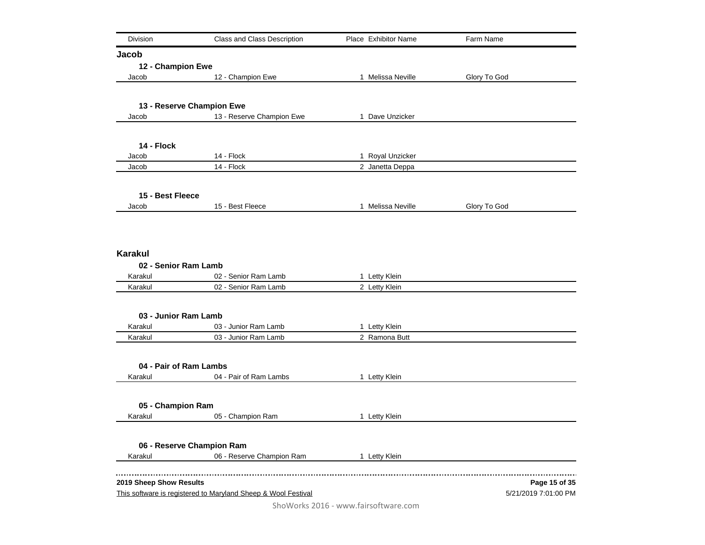| Division                | Class and Class Description                                   | Place Exhibitor Name           | Farm Name            |
|-------------------------|---------------------------------------------------------------|--------------------------------|----------------------|
| Jacob                   |                                                               |                                |                      |
| 12 - Champion Ewe       |                                                               |                                |                      |
| Jacob                   | 12 - Champion Ewe                                             | 1 Melissa Neville              | Glory To God         |
|                         |                                                               |                                |                      |
|                         | 13 - Reserve Champion Ewe                                     |                                |                      |
| Jacob                   | 13 - Reserve Champion Ewe                                     | 1 Dave Unzicker                |                      |
|                         |                                                               |                                |                      |
| 14 - Flock<br>Jacob     | 14 - Flock                                                    | 1 Royal Unzicker               |                      |
| Jacob                   | 14 - Flock                                                    | 2 Janetta Deppa                |                      |
|                         |                                                               |                                |                      |
| 15 - Best Fleece        |                                                               |                                |                      |
| Jacob                   | 15 - Best Fleece                                              | 1 Melissa Neville              | Glory To God         |
|                         |                                                               |                                |                      |
| <b>Karakul</b>          |                                                               |                                |                      |
| 02 - Senior Ram Lamb    |                                                               |                                |                      |
| Karakul                 | 02 - Senior Ram Lamb                                          | 1 Letty Klein                  |                      |
| Karakul                 | 02 - Senior Ram Lamb                                          | 2 Letty Klein                  |                      |
|                         |                                                               |                                |                      |
| 03 - Junior Ram Lamb    |                                                               |                                |                      |
| Karakul<br>Karakul      | 03 - Junior Ram Lamb<br>03 - Junior Ram Lamb                  | 1 Letty Klein<br>2 Ramona Butt |                      |
|                         |                                                               |                                |                      |
| 04 - Pair of Ram Lambs  |                                                               |                                |                      |
| Karakul                 | 04 - Pair of Ram Lambs                                        | 1 Letty Klein                  |                      |
|                         |                                                               |                                |                      |
| 05 - Champion Ram       |                                                               |                                |                      |
| Karakul                 | 05 - Champion Ram                                             | 1 Letty Klein                  |                      |
|                         | 06 - Reserve Champion Ram                                     |                                |                      |
| Karakul                 | 06 - Reserve Champion Ram                                     | 1 Letty Klein                  |                      |
|                         |                                                               |                                |                      |
| 2019 Sheep Show Results |                                                               |                                | Page 15 of 35        |
|                         | This software is registered to Maryland Sheep & Wool Festival |                                | 5/21/2019 7:01:00 PM |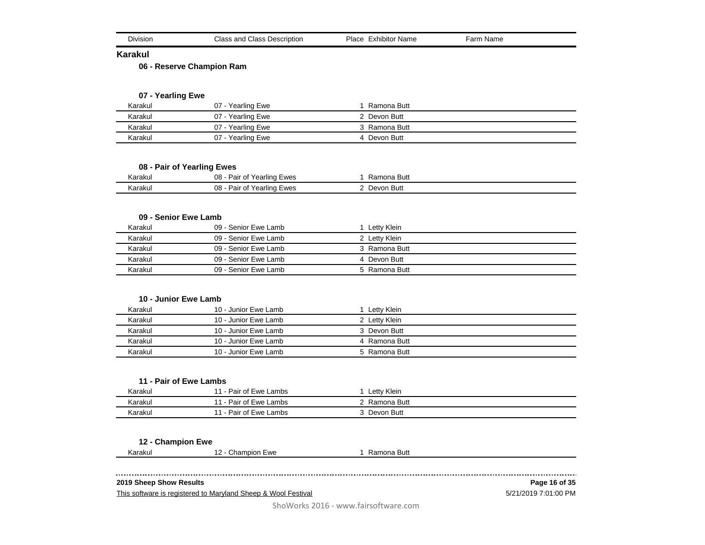| Class and<br>l Class Description<br><b>DIVISION</b> | Place<br>.<br>Exhibitor Name | Name<br>arr |  |
|-----------------------------------------------------|------------------------------|-------------|--|
|-----------------------------------------------------|------------------------------|-------------|--|

#### **Karakul**

**06 - Reserve Champion Ram**

## **07 - Yearling Ewe**

| Karakul | $07 -$<br>Yearling Ewe | Ramona Butt   |  |
|---------|------------------------|---------------|--|
| Karakul | 07 - Yearling Ewe      | 2 Devon Butt  |  |
| Karakul | 07 - Yearling Ewe      | 3 Ramona Butt |  |
| Karakul | 07 - Yearling Ewe      | 4 Devon Butt  |  |

**08 - Pair of Yearling Ewes**

| Karakul | 08<br>Ewes<br>Pair<br>Yearlınd<br>οt      | Butt<br>Ramona |  |
|---------|-------------------------------------------|----------------|--|
| Karakul | 08<br>Ewes<br>Yearling<br>Pair<br>∩t<br>ັ | Butt<br>Devon  |  |

#### **09 - Senior Ewe Lamb**

| Karakul | 09 - Senior Ewe Lamb | Lettv Klein   |  |
|---------|----------------------|---------------|--|
| Karakul | 09 - Senior Ewe Lamb | 2 Letty Klein |  |
| Karakul | 09 - Senior Ewe Lamb | 3 Ramona Butt |  |
| Karakul | 09 - Senior Ewe Lamb | 4 Devon Butt  |  |
| Karakul | 09 - Senior Ewe Lamb | 5 Ramona Butt |  |

#### **10 - Junior Ewe Lamb**

| Karakul | 10 - Junior Ewe Lamb | Letty Klein   |  |
|---------|----------------------|---------------|--|
| Karakul | 10 - Junior Ewe Lamb | 2 Letty Klein |  |
| Karakul | 10 - Junior Ewe Lamb | 3 Devon Butt  |  |
| Karakul | 10 - Junior Ewe Lamb | 4 Ramona Butt |  |
| Karakul | 10 - Junior Ewe Lamb | 5 Ramona Butt |  |

#### **11 - Pair of Ewe Lambs**

| Karakul | 11 - Pair of Ewe Lambs         | Letty Klein |  |
|---------|--------------------------------|-------------|--|
| Karakul | 11 - Pair of Ewe Lambs         | Ramona Butt |  |
| Karakul | $-11 -$<br>- Pair of Ewe Lambs | Devon Butt  |  |

#### **12 - Champion Ewe**

Karakul 12 - Champion Ewe 1 Ramona Butt

#### **2019 Sheep Show Results**

This software is registered to Maryland Sheep & Wool Festival

5/21/2019 7:01:00 PM **Page 16 of 35**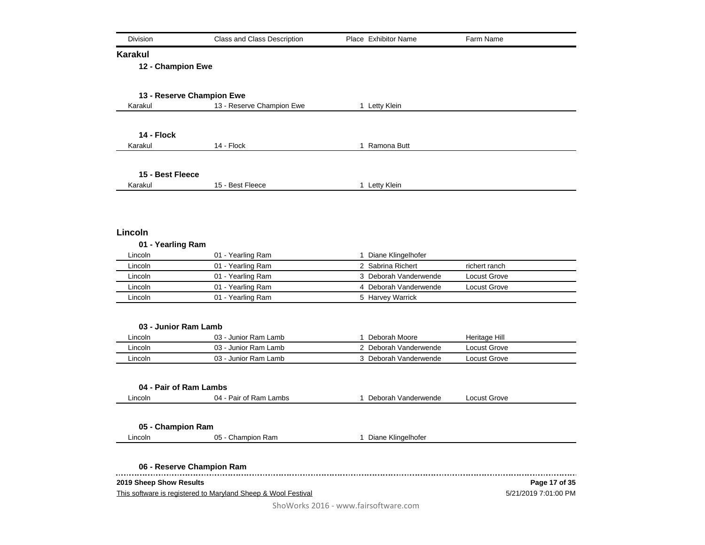| Division                             | <b>Class and Class Description</b>                            | Place Exhibitor Name  | Farm Name            |
|--------------------------------------|---------------------------------------------------------------|-----------------------|----------------------|
| <b>Karakul</b>                       |                                                               |                       |                      |
| 12 - Champion Ewe                    |                                                               |                       |                      |
|                                      |                                                               |                       |                      |
| 13 - Reserve Champion Ewe<br>Karakul | 13 - Reserve Champion Ewe                                     | 1 Letty Klein         |                      |
|                                      |                                                               |                       |                      |
| 14 - Flock                           |                                                               |                       |                      |
| Karakul                              | 14 - Flock                                                    | 1 Ramona Butt         |                      |
|                                      |                                                               |                       |                      |
| 15 - Best Fleece                     |                                                               |                       |                      |
| Karakul                              | 15 - Best Fleece                                              | 1 Letty Klein         |                      |
|                                      |                                                               |                       |                      |
| Lincoln                              |                                                               |                       |                      |
| 01 - Yearling Ram                    |                                                               |                       |                      |
| Lincoln                              | 01 - Yearling Ram                                             | 1 Diane Klingelhofer  |                      |
| Lincoln                              | 01 - Yearling Ram                                             | 2 Sabrina Richert     | richert ranch        |
| Lincoln                              | 01 - Yearling Ram                                             | 3 Deborah Vanderwende | <b>Locust Grove</b>  |
| Lincoln                              | 01 - Yearling Ram                                             | 4 Deborah Vanderwende | Locust Grove         |
| Lincoln                              | 01 - Yearling Ram                                             | 5 Harvey Warrick      |                      |
|                                      |                                                               |                       |                      |
| 03 - Junior Ram Lamb                 |                                                               |                       |                      |
| Lincoln                              | 03 - Junior Ram Lamb                                          | 1 Deborah Moore       | Heritage Hill        |
| Lincoln                              | 03 - Junior Ram Lamb                                          | 2 Deborah Vanderwende | Locust Grove         |
| Lincoln                              | 03 - Junior Ram Lamb                                          | 3 Deborah Vanderwende | Locust Grove         |
|                                      |                                                               |                       |                      |
| 04 - Pair of Ram Lambs               |                                                               |                       |                      |
| Lincoln                              | 04 - Pair of Ram Lambs                                        | 1 Deborah Vanderwende | Locust Grove         |
|                                      |                                                               |                       |                      |
| 05 - Champion Ram                    |                                                               |                       |                      |
| Lincoln                              | 05 - Champion Ram                                             | 1 Diane Klingelhofer  |                      |
|                                      |                                                               |                       |                      |
| 06 - Reserve Champion Ram            |                                                               |                       |                      |
| 2019 Sheep Show Results              |                                                               |                       | Page 17 of 35        |
|                                      | This software is registered to Maryland Sheep & Wool Festival |                       | 5/21/2019 7:01:00 PM |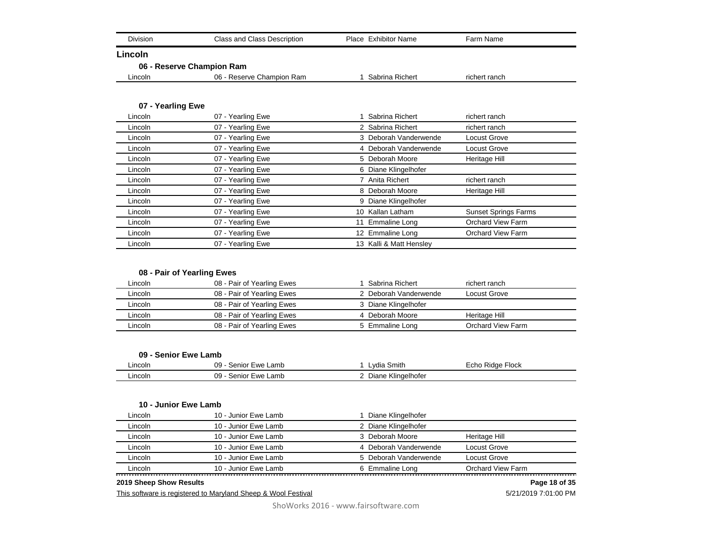| <b>Division</b>   | <b>Class and Class Description</b> | Place Exhibitor Name  | Farm Name                   |
|-------------------|------------------------------------|-----------------------|-----------------------------|
| Lincoln           |                                    |                       |                             |
|                   | 06 - Reserve Champion Ram          |                       |                             |
| Lincoln           | 06 - Reserve Champion Ram          | Sabrina Richert       | richert ranch               |
| 07 - Yearling Ewe |                                    |                       |                             |
| Lincoln           | 07 - Yearling Ewe                  | Sabrina Richert       | richert ranch               |
| Lincoln           | 07 - Yearling Ewe                  | 2 Sabrina Richert     | richert ranch               |
| Lincoln           | 07 - Yearling Ewe                  | 3 Deborah Vanderwende | <b>Locust Grove</b>         |
| Lincoln           | 07 - Yearling Ewe                  | 4 Deborah Vanderwende | Locust Grove                |
| Lincoln           | 07 - Yearling Ewe                  | 5 Deborah Moore       | Heritage Hill               |
| Lincoln           | 07 - Yearling Ewe                  | 6 Diane Klingelhofer  |                             |
| Lincoln           | 07 - Yearling Ewe                  | 7 Anita Richert       | richert ranch               |
| Lincoln           | 07 - Yearling Ewe                  | 8 Deborah Moore       | Heritage Hill               |
| Lincoln           | 07 - Yearling Ewe                  | 9 Diane Klingelhofer  |                             |
| Lincoln           | 07 - Yearling Ewe                  | Kallan Latham<br>10   | <b>Sunset Springs Farms</b> |
| Lincoln           | 07 - Yearling Ewe                  | <b>Emmaline Long</b>  | <b>Orchard View Farm</b>    |
| Lincoln           | 07 - Yearling Ewe                  | 12 Emmaline Long      | <b>Orchard View Farm</b>    |

## **08 - Pair of Yearling Ewes**

| Lincoln | 08 - Pair of Yearling Ewes | 1 Sabrina Richert     | richert ranch     |
|---------|----------------------------|-----------------------|-------------------|
| Lincoln | 08 - Pair of Yearling Ewes | 2 Deborah Vanderwende | Locust Grove      |
| Lincoln | 08 - Pair of Yearling Ewes | 3 Diane Klingelhofer  |                   |
| Lincoln | 08 - Pair of Yearling Ewes | 4 Deborah Moore       | Heritage Hill     |
| Lincoln | 08 - Pair of Yearling Ewes | 5 Emmaline Long       | Orchard View Farm |

Lincoln 07 - Yearling Ewe 12 Emmaline Long Lincoln **13 Contract COV** - Yearling Ewe 13 Kalli & Matt Hensley

#### **09 - Senior Ewe Lamb**

| Lincoln | 09<br>.amb<br>Ewe<br>`enior ∶ | Smith<br>Vdi.                                    | <b>Flock</b><br>Ridge<br>∩n∩<br>ᄂᇅ൛ |
|---------|-------------------------------|--------------------------------------------------|-------------------------------------|
| ∟incoln | 09<br>Lamb<br>Ewe<br>senioi   | $\cdots$<br>naelhofer<br><b>NI</b><br>ا ب<br>טונ |                                     |

#### **10 - Junior Ewe Lamb**

| Lincoln | 10 - Junior Ewe Lamb | l Diane Klingelhofer  |                   |
|---------|----------------------|-----------------------|-------------------|
| Lincoln | 10 - Junior Ewe Lamb | 2 Diane Klingelhofer  |                   |
| Lincoln | 10 - Junior Ewe Lamb | 3 Deborah Moore       | Heritage Hill     |
| Lincoln | 10 - Junior Ewe Lamb | 4 Deborah Vanderwende | Locust Grove      |
| Lincoln | 10 - Junior Ewe Lamb | 5 Deborah Vanderwende | Locust Grove      |
| Lincoln | 10 - Junior Ewe Lamb | 6 Emmaline Long       | Orchard View Farm |
|         |                      |                       |                   |

#### **2019 Sheep Show Results**

This software is registered to Maryland Sheep & Wool Festival

5/21/2019 7:01:00 PM **Page 18 of 35**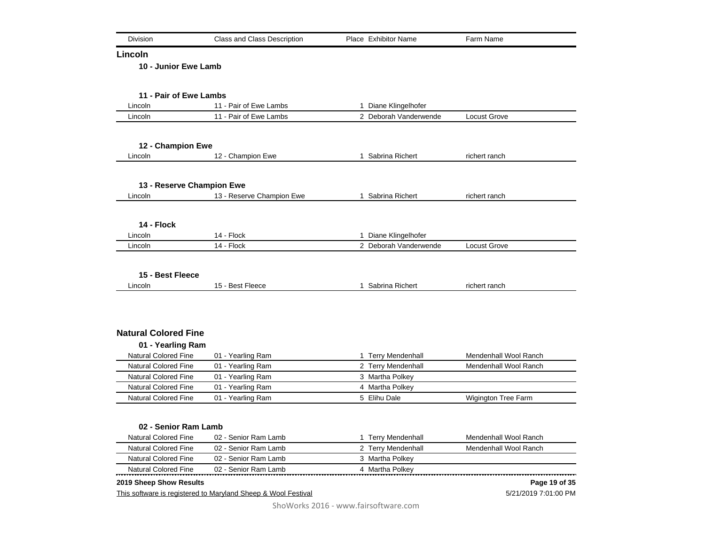| Division                    | <b>Class and Class Description</b>                            | Place Exhibitor Name  | Farm Name             |
|-----------------------------|---------------------------------------------------------------|-----------------------|-----------------------|
| Lincoln                     |                                                               |                       |                       |
| 10 - Junior Ewe Lamb        |                                                               |                       |                       |
|                             |                                                               |                       |                       |
| 11 - Pair of Ewe Lambs      |                                                               |                       |                       |
| Lincoln                     | 11 - Pair of Ewe Lambs                                        | 1 Diane Klingelhofer  |                       |
| Lincoln                     | 11 - Pair of Ewe Lambs                                        | 2 Deborah Vanderwende | Locust Grove          |
| 12 - Champion Ewe           |                                                               |                       |                       |
| Lincoln                     | 12 - Champion Ewe                                             | 1 Sabrina Richert     | richert ranch         |
| 13 - Reserve Champion Ewe   |                                                               |                       |                       |
| Lincoln                     | 13 - Reserve Champion Ewe                                     | 1 Sabrina Richert     | richert ranch         |
|                             |                                                               |                       |                       |
| 14 - Flock                  |                                                               |                       |                       |
| Lincoln                     | 14 - Flock                                                    | 1 Diane Klingelhofer  |                       |
| Lincoln                     | 14 - Flock                                                    | 2 Deborah Vanderwende | Locust Grove          |
| 15 - Best Fleece            |                                                               |                       |                       |
| Lincoln                     | 15 - Best Fleece                                              | 1 Sabrina Richert     | richert ranch         |
|                             |                                                               |                       |                       |
| <b>Natural Colored Fine</b> |                                                               |                       |                       |
| 01 - Yearling Ram           |                                                               |                       |                       |
| <b>Natural Colored Fine</b> | 01 - Yearling Ram                                             | 1 Terry Mendenhall    | Mendenhall Wool Ranch |
| <b>Natural Colored Fine</b> | 01 - Yearling Ram                                             | 2 Terry Mendenhall    | Mendenhall Wool Ranch |
| <b>Natural Colored Fine</b> | 01 - Yearling Ram                                             | 3 Martha Polkey       |                       |
| <b>Natural Colored Fine</b> | 01 - Yearling Ram                                             | 4 Martha Polkey       |                       |
| <b>Natural Colored Fine</b> | 01 - Yearling Ram                                             | 5 Elihu Dale          | Wigington Tree Farm   |
|                             |                                                               |                       |                       |
| 02 - Senior Ram Lamb        |                                                               |                       |                       |
| <b>Natural Colored Fine</b> | 02 - Senior Ram Lamb                                          | 1 Terry Mendenhall    | Mendenhall Wool Ranch |
| <b>Natural Colored Fine</b> | 02 - Senior Ram Lamb                                          | 2 Terry Mendenhall    | Mendenhall Wool Ranch |
| <b>Natural Colored Fine</b> | 02 - Senior Ram Lamb                                          | 3 Martha Polkey       |                       |
| <b>Natural Colored Fine</b> | 02 - Senior Ram Lamb                                          | 4 Martha Polkey       |                       |
| 2019 Sheep Show Results     |                                                               |                       | Page 19 of 35         |
|                             | This software is registered to Maryland Sheep & Wool Festival |                       | 5/21/2019 7:01:00 PM  |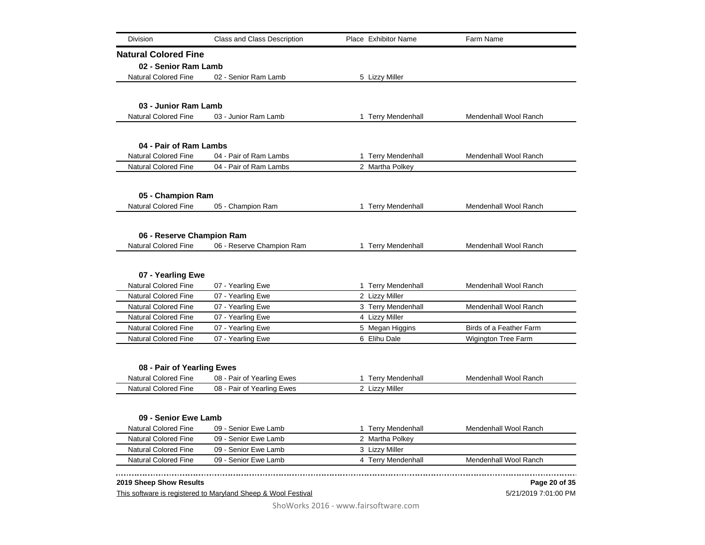| Division                                            | <b>Class and Class Description</b>                            | Place Exhibitor Name                  | Farm Name               |
|-----------------------------------------------------|---------------------------------------------------------------|---------------------------------------|-------------------------|
| <b>Natural Colored Fine</b>                         |                                                               |                                       |                         |
| 02 - Senior Ram Lamb                                |                                                               |                                       |                         |
| <b>Natural Colored Fine</b>                         | 02 - Senior Ram Lamb                                          | 5 Lizzy Miller                        |                         |
|                                                     |                                                               |                                       |                         |
| 03 - Junior Ram Lamb                                |                                                               |                                       |                         |
| <b>Natural Colored Fine</b>                         | 03 - Junior Ram Lamb                                          | 1 Terry Mendenhall                    | Mendenhall Wool Ranch   |
|                                                     |                                                               |                                       |                         |
| 04 - Pair of Ram Lambs                              |                                                               |                                       |                         |
| <b>Natural Colored Fine</b>                         | 04 - Pair of Ram Lambs                                        | 1 Terry Mendenhall                    | Mendenhall Wool Ranch   |
| <b>Natural Colored Fine</b>                         | 04 - Pair of Ram Lambs                                        | 2 Martha Polkey                       |                         |
|                                                     |                                                               |                                       |                         |
| 05 - Champion Ram                                   |                                                               |                                       |                         |
| <b>Natural Colored Fine</b>                         | 05 - Champion Ram                                             | 1 Terry Mendenhall                    | Mendenhall Wool Ranch   |
|                                                     |                                                               |                                       |                         |
|                                                     |                                                               |                                       |                         |
| 06 - Reserve Champion Ram                           |                                                               |                                       |                         |
| <b>Natural Colored Fine</b>                         | 06 - Reserve Champion Ram                                     | 1 Terry Mendenhall                    | Mendenhall Wool Ranch   |
|                                                     |                                                               |                                       |                         |
| 07 - Yearling Ewe<br><b>Natural Colored Fine</b>    | 07 - Yearling Ewe                                             | 1 Terry Mendenhall                    | Mendenhall Wool Ranch   |
| <b>Natural Colored Fine</b>                         | 07 - Yearling Ewe                                             | 2 Lizzy Miller                        |                         |
| <b>Natural Colored Fine</b>                         | 07 - Yearling Ewe                                             | 3 Terry Mendenhall                    | Mendenhall Wool Ranch   |
| <b>Natural Colored Fine</b>                         | 07 - Yearling Ewe                                             | 4 Lizzy Miller                        |                         |
| <b>Natural Colored Fine</b>                         | 07 - Yearling Ewe                                             | 5 Megan Higgins                       | Birds of a Feather Farm |
| <b>Natural Colored Fine</b>                         | 07 - Yearling Ewe                                             | 6 Elihu Dale                          | Wigington Tree Farm     |
|                                                     |                                                               |                                       |                         |
| 08 - Pair of Yearling Ewes                          |                                                               |                                       |                         |
| <b>Natural Colored Fine</b>                         | 08 - Pair of Yearling Ewes                                    | 1 Terry Mendenhall                    | Mendenhall Wool Ranch   |
| <b>Natural Colored Fine</b>                         | 08 - Pair of Yearling Ewes                                    | 2 Lizzy Miller                        |                         |
|                                                     |                                                               |                                       |                         |
|                                                     |                                                               |                                       |                         |
| 09 - Senior Ewe Lamb                                |                                                               |                                       |                         |
| <b>Natural Colored Fine</b><br>Natural Colored Fine | 09 - Senior Ewe Lamb<br>09 - Senior Ewe Lamb                  | 1 Terry Mendenhall<br>2 Martha Polkey | Mendenhall Wool Ranch   |
| Natural Colored Fine                                | 09 - Senior Ewe Lamb                                          | 3 Lizzy Miller                        |                         |
| <b>Natural Colored Fine</b>                         | 09 - Senior Ewe Lamb                                          | 4 Terry Mendenhall                    | Mendenhall Wool Ranch   |
|                                                     |                                                               |                                       |                         |
| 2019 Sheep Show Results                             |                                                               |                                       | Page 20 of 35           |
|                                                     | This software is registered to Maryland Sheep & Wool Festival |                                       | 5/21/2019 7:01:00 PM    |

# 5/21/2019 7:01:00 PM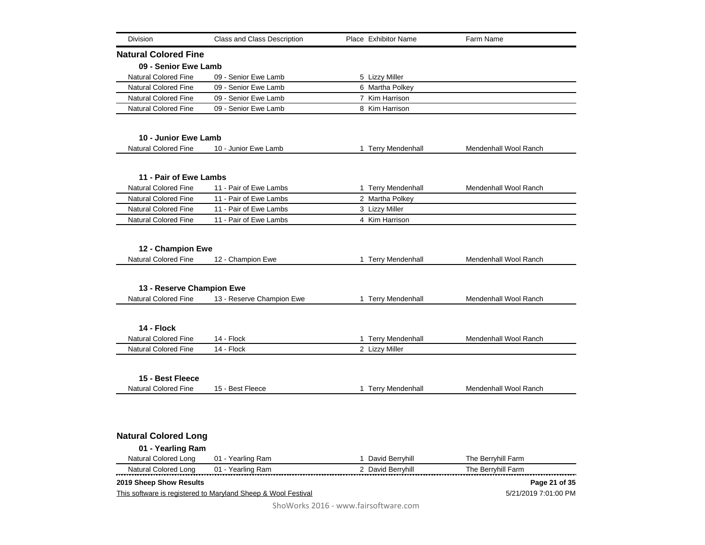| <b>Division</b><br>Class and Class Description                        | Place Exhibitor Name | Farm Name             |
|-----------------------------------------------------------------------|----------------------|-----------------------|
| <b>Natural Colored Fine</b>                                           |                      |                       |
| 09 - Senior Ewe Lamb                                                  |                      |                       |
| <b>Natural Colored Fine</b><br>09 - Senior Ewe Lamb                   | 5 Lizzy Miller       |                       |
| <b>Natural Colored Fine</b><br>09 - Senior Ewe Lamb                   | 6 Martha Polkey      |                       |
| <b>Natural Colored Fine</b><br>09 - Senior Ewe Lamb                   | 7 Kim Harrison       |                       |
| <b>Natural Colored Fine</b><br>09 - Senior Ewe Lamb                   | 8 Kim Harrison       |                       |
| 10 - Junior Ewe Lamb                                                  |                      |                       |
| <b>Natural Colored Fine</b><br>10 - Junior Ewe Lamb                   | 1 Terry Mendenhall   | Mendenhall Wool Ranch |
|                                                                       |                      |                       |
| 11 - Pair of Ewe Lambs                                                |                      |                       |
| <b>Natural Colored Fine</b><br>11 - Pair of Ewe Lambs                 | 1 Terry Mendenhall   | Mendenhall Wool Ranch |
| <b>Natural Colored Fine</b><br>11 - Pair of Ewe Lambs                 | 2 Martha Polkey      |                       |
| <b>Natural Colored Fine</b><br>11 - Pair of Ewe Lambs                 | 3 Lizzy Miller       |                       |
| Natural Colored Fine<br>11 - Pair of Ewe Lambs                        | 4 Kim Harrison       |                       |
| 12 - Champion Ewe<br><b>Natural Colored Fine</b><br>12 - Champion Ewe | 1 Terry Mendenhall   | Mendenhall Wool Ranch |
| 13 - Reserve Champion Ewe                                             |                      |                       |
| <b>Natural Colored Fine</b><br>13 - Reserve Champion Ewe              | 1 Terry Mendenhall   | Mendenhall Wool Ranch |
|                                                                       |                      |                       |
| 14 - Flock                                                            |                      |                       |
| 14 - Flock<br><b>Natural Colored Fine</b>                             | 1 Terry Mendenhall   | Mendenhall Wool Ranch |
| <b>Natural Colored Fine</b><br>14 - Flock                             | 2 Lizzy Miller       |                       |
| 15 - Best Fleece                                                      |                      |                       |
| <b>Natural Colored Fine</b><br>15 - Best Fleece                       | 1 Terry Mendenhall   | Mendenhall Wool Ranch |
|                                                                       |                      |                       |
| <b>Natural Colored Long</b>                                           |                      |                       |
| 01 - Yearling Ram                                                     |                      |                       |
| <b>Natural Colored Long</b><br>01 - Yearling Ram                      | 1 David Berryhill    | The Berryhill Farm    |
| <b>Natural Colored Long</b><br>01 - Yearling Ram                      | 2 David Berryhill    | The Berryhill Farm    |
| 2019 Sheep Show Results                                               |                      | Page 21 of 35         |
| This software is registered to Maryland Sheep & Wool Festival         |                      | 5/21/2019 7:01:00 PM  |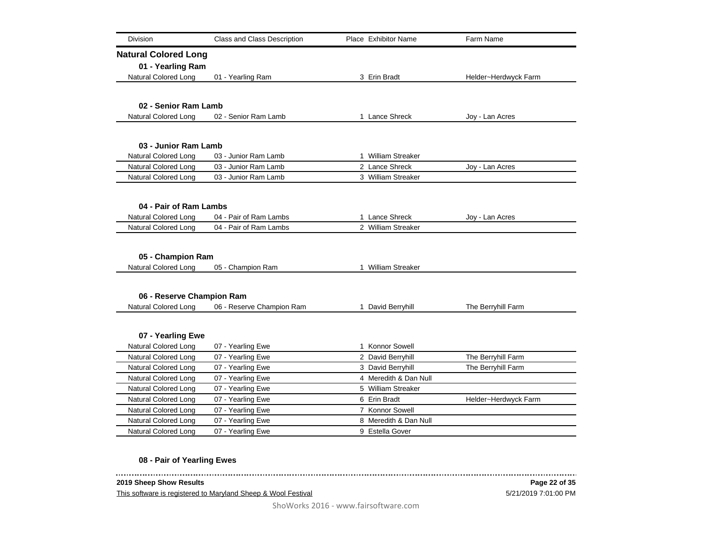| <b>Division</b>             | Class and Class Description | Place Exhibitor Name  | Farm Name            |
|-----------------------------|-----------------------------|-----------------------|----------------------|
| <b>Natural Colored Long</b> |                             |                       |                      |
| 01 - Yearling Ram           |                             |                       |                      |
| Natural Colored Long        | 01 - Yearling Ram           | 3 Erin Bradt          | Helder~Herdwyck Farm |
|                             |                             |                       |                      |
|                             |                             |                       |                      |
| 02 - Senior Ram Lamb        |                             |                       |                      |
| Natural Colored Long        | 02 - Senior Ram Lamb        | 1 Lance Shreck        | Joy - Lan Acres      |
|                             |                             |                       |                      |
| 03 - Junior Ram Lamb        |                             |                       |                      |
| Natural Colored Long        | 03 - Junior Ram Lamb        | 1 William Streaker    |                      |
| Natural Colored Long        | 03 - Junior Ram Lamb        | 2 Lance Shreck        | Joy - Lan Acres      |
| Natural Colored Long        | 03 - Junior Ram Lamb        | 3 William Streaker    |                      |
|                             |                             |                       |                      |
|                             |                             |                       |                      |
| 04 - Pair of Ram Lambs      |                             |                       |                      |
| Natural Colored Long        | 04 - Pair of Ram Lambs      | 1 Lance Shreck        | Joy - Lan Acres      |
| Natural Colored Long        | 04 - Pair of Ram Lambs      | 2 William Streaker    |                      |
|                             |                             |                       |                      |
| 05 - Champion Ram           |                             |                       |                      |
| <b>Natural Colored Long</b> | 05 - Champion Ram           | 1 William Streaker    |                      |
|                             |                             |                       |                      |
|                             |                             |                       |                      |
| 06 - Reserve Champion Ram   |                             |                       |                      |
| Natural Colored Long        | 06 - Reserve Champion Ram   | 1 David Berryhill     | The Berryhill Farm   |
|                             |                             |                       |                      |
| 07 - Yearling Ewe           |                             |                       |                      |
| <b>Natural Colored Long</b> | 07 - Yearling Ewe           | 1 Konnor Sowell       |                      |
| Natural Colored Long        | 07 - Yearling Ewe           | 2 David Berryhill     | The Berryhill Farm   |
| <b>Natural Colored Long</b> | 07 - Yearling Ewe           | 3 David Berryhill     | The Berryhill Farm   |
| Natural Colored Long        | 07 - Yearling Ewe           | 4 Meredith & Dan Null |                      |
| Natural Colored Long        | 07 - Yearling Ewe           | 5 William Streaker    |                      |
| Natural Colored Long        | 07 - Yearling Ewe           | 6 Erin Bradt          | Helder~Herdwyck Farm |
| Natural Colored Long        | 07 - Yearling Ewe           | 7 Konnor Sowell       |                      |
| Natural Colored Long        | 07 - Yearling Ewe           | 8 Meredith & Dan Null |                      |
| <b>Natural Colored Long</b> | 07 - Yearling Ewe           | 9 Estella Gover       |                      |
|                             |                             |                       |                      |

## **08 - Pair of Yearling Ewes**

. <u>. . . . . . . . . . . . . . . . .</u> .

-------------------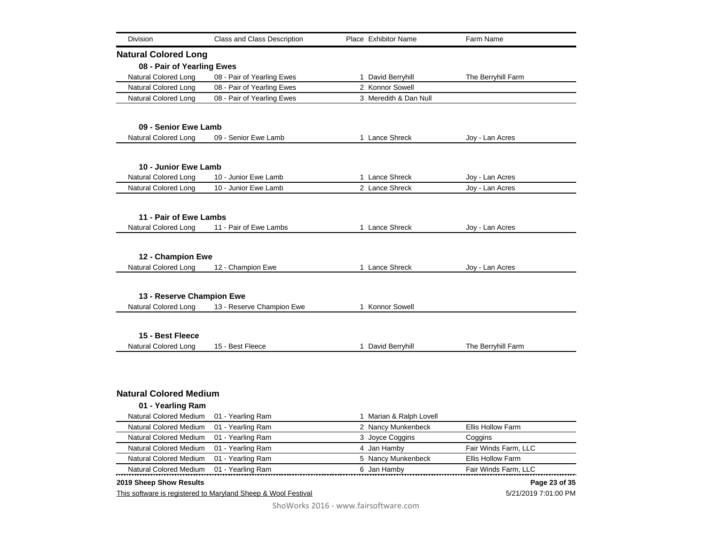| <b>Division</b>               | <b>Class and Class Description</b>                            | Place Exhibitor Name    | Farm Name                |
|-------------------------------|---------------------------------------------------------------|-------------------------|--------------------------|
| <b>Natural Colored Long</b>   |                                                               |                         |                          |
| 08 - Pair of Yearling Ewes    |                                                               |                         |                          |
| <b>Natural Colored Long</b>   | 08 - Pair of Yearling Ewes                                    | 1 David Berryhill       | The Berryhill Farm       |
| Natural Colored Long          | 08 - Pair of Yearling Ewes                                    | 2 Konnor Sowell         |                          |
| <b>Natural Colored Long</b>   | 08 - Pair of Yearling Ewes                                    | 3 Meredith & Dan Null   |                          |
| 09 - Senior Ewe Lamb          |                                                               |                         |                          |
|                               |                                                               | 1 Lance Shreck          |                          |
| <b>Natural Colored Long</b>   | 09 - Senior Ewe Lamb                                          |                         | Joy - Lan Acres          |
| 10 - Junior Ewe Lamb          |                                                               |                         |                          |
| Natural Colored Long          | 10 - Junior Ewe Lamb                                          | 1 Lance Shreck          | Joy - Lan Acres          |
| <b>Natural Colored Long</b>   | 10 - Junior Ewe Lamb                                          | 2 Lance Shreck          | Joy - Lan Acres          |
|                               |                                                               |                         |                          |
| 11 - Pair of Ewe Lambs        |                                                               |                         |                          |
| <b>Natural Colored Long</b>   | 11 - Pair of Ewe Lambs                                        | 1 Lance Shreck          | Joy - Lan Acres          |
|                               |                                                               |                         |                          |
| 12 - Champion Ewe             |                                                               |                         |                          |
| <b>Natural Colored Long</b>   | 12 - Champion Ewe                                             | 1 Lance Shreck          | Joy - Lan Acres          |
|                               |                                                               |                         |                          |
| 13 - Reserve Champion Ewe     |                                                               |                         |                          |
| <b>Natural Colored Long</b>   | 13 - Reserve Champion Ewe                                     | 1 Konnor Sowell         |                          |
| 15 - Best Fleece              |                                                               |                         |                          |
| Natural Colored Long          | 15 - Best Fleece                                              | 1 David Berryhill       | The Berryhill Farm       |
|                               |                                                               |                         |                          |
|                               |                                                               |                         |                          |
| <b>Natural Colored Medium</b> |                                                               |                         |                          |
| 01 - Yearling Ram             |                                                               |                         |                          |
| Natural Colored Medium        | 01 - Yearling Ram                                             | 1 Marian & Ralph Lovell |                          |
| <b>Natural Colored Medium</b> | 01 - Yearling Ram                                             | 2 Nancy Munkenbeck      | <b>Ellis Hollow Farm</b> |
| Natural Colored Medium        | 01 - Yearling Ram                                             | 3 Joyce Coggins         | Coggins                  |
| Natural Colored Medium        | 01 - Yearling Ram                                             | 4 Jan Hamby             | Fair Winds Farm, LLC     |
| Natural Colored Medium        | 01 - Yearling Ram                                             | 5 Nancy Munkenbeck      | Ellis Hollow Farm        |
| Natural Colored Medium        | 01 - Yearling Ram                                             | 6 Jan Hamby             | Fair Winds Farm, LLC     |
| 2019 Sheep Show Results       |                                                               |                         | Page 23 of 35            |
|                               | This software is registered to Maryland Sheep & Wool Festival |                         | 5/21/2019 7:01:00 PM     |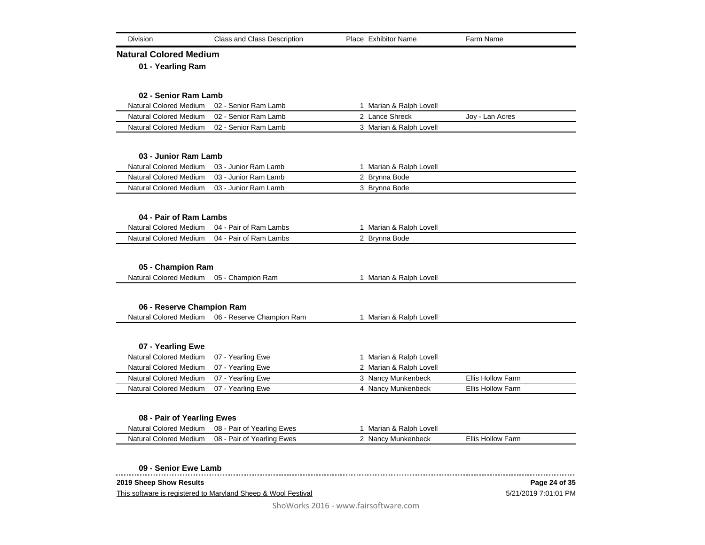| <b>Division</b>                                                | <b>Class and Class Description</b>               | Place Exhibitor Name                      | Farm Name                |
|----------------------------------------------------------------|--------------------------------------------------|-------------------------------------------|--------------------------|
| <b>Natural Colored Medium</b>                                  |                                                  |                                           |                          |
| 01 - Yearling Ram                                              |                                                  |                                           |                          |
|                                                                |                                                  |                                           |                          |
|                                                                |                                                  |                                           |                          |
| 02 - Senior Ram Lamb                                           |                                                  |                                           |                          |
| <b>Natural Colored Medium</b><br><b>Natural Colored Medium</b> | 02 - Senior Ram Lamb                             | 1 Marian & Ralph Lovell<br>2 Lance Shreck |                          |
| <b>Natural Colored Medium</b>                                  | 02 - Senior Ram Lamb<br>02 - Senior Ram Lamb     |                                           | Joy - Lan Acres          |
|                                                                |                                                  | 3 Marian & Ralph Lovell                   |                          |
|                                                                |                                                  |                                           |                          |
| 03 - Junior Ram Lamb                                           |                                                  |                                           |                          |
| Natural Colored Medium                                         | 03 - Junior Ram Lamb                             | 1 Marian & Ralph Lovell                   |                          |
| Natural Colored Medium                                         | 03 - Junior Ram Lamb                             | 2 Brynna Bode                             |                          |
| Natural Colored Medium                                         | 03 - Junior Ram Lamb                             | 3 Brynna Bode                             |                          |
|                                                                |                                                  |                                           |                          |
| 04 - Pair of Ram Lambs                                         |                                                  |                                           |                          |
| <b>Natural Colored Medium</b>                                  | 04 - Pair of Ram Lambs                           | 1 Marian & Ralph Lovell                   |                          |
| <b>Natural Colored Medium</b>                                  | 04 - Pair of Ram Lambs                           | 2 Brynna Bode                             |                          |
|                                                                |                                                  |                                           |                          |
|                                                                |                                                  |                                           |                          |
| 05 - Champion Ram                                              |                                                  |                                           |                          |
| Natural Colored Medium                                         | 05 - Champion Ram                                | 1 Marian & Ralph Lovell                   |                          |
|                                                                |                                                  |                                           |                          |
| 06 - Reserve Champion Ram                                      |                                                  |                                           |                          |
|                                                                | Natural Colored Medium 06 - Reserve Champion Ram | 1 Marian & Ralph Lovell                   |                          |
|                                                                |                                                  |                                           |                          |
|                                                                |                                                  |                                           |                          |
| 07 - Yearling Ewe                                              |                                                  |                                           |                          |
| Natural Colored Medium                                         | 07 - Yearling Ewe                                | 1 Marian & Ralph Lovell                   |                          |
| Natural Colored Medium                                         | 07 - Yearling Ewe                                | 2 Marian & Ralph Lovell                   |                          |
| Natural Colored Medium                                         | 07 - Yearling Ewe                                | 3 Nancy Munkenbeck                        | Ellis Hollow Farm        |
| <b>Natural Colored Medium</b>                                  | 07 - Yearling Ewe                                | 4 Nancy Munkenbeck                        | <b>Ellis Hollow Farm</b> |
|                                                                |                                                  |                                           |                          |
| 08 - Pair of Yearling Ewes                                     |                                                  |                                           |                          |
| <b>Natural Colored Medium</b>                                  | 08 - Pair of Yearling Ewes                       | 1 Marian & Ralph Lovell                   |                          |
| <b>Natural Colored Medium</b>                                  | 08 - Pair of Yearling Ewes                       | 2 Nancy Munkenbeck                        | <b>Ellis Hollow Farm</b> |
|                                                                |                                                  |                                           |                          |
|                                                                |                                                  |                                           |                          |
| 09 - Senior Ewe Lamb                                           |                                                  |                                           |                          |

**2019 Sheep Show Results**

 $\begin{array}{cccccccccc} \multicolumn{2}{c}{} & \multicolumn{2}{c}{} & \multicolumn{2}{c}{} & \multicolumn{2}{c}{} & \multicolumn{2}{c}{} & \multicolumn{2}{c}{} & \multicolumn{2}{c}{} & \multicolumn{2}{c}{} & \multicolumn{2}{c}{} & \multicolumn{2}{c}{} & \multicolumn{2}{c}{} & \multicolumn{2}{c}{} & \multicolumn{2}{c}{} & \multicolumn{2}{c}{} & \multicolumn{2}{c}{} & \multicolumn{2}{c}{} & \multicolumn{2}{c}{} & \multicolumn{2}{c}{} & \multicolumn{2}{c}{} & \mult$ 

This software is registered to Maryland Sheep & Wool Festival

5/21/2019 7:01:01 PM **Page 24 of 35**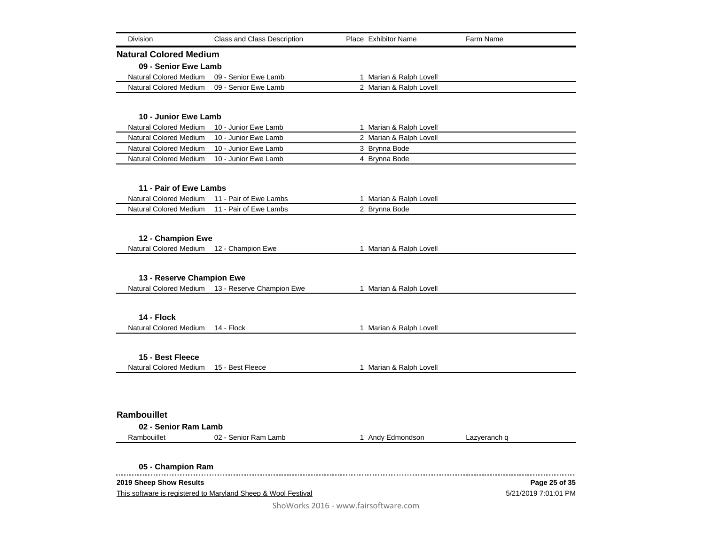| Division                      | Class and Class Description                                   | <b>Place Exhibitor Name</b>          | Farm Name            |
|-------------------------------|---------------------------------------------------------------|--------------------------------------|----------------------|
| <b>Natural Colored Medium</b> |                                                               |                                      |                      |
| 09 - Senior Ewe Lamb          |                                                               |                                      |                      |
| Natural Colored Medium        | 09 - Senior Ewe Lamb                                          | 1 Marian & Ralph Lovell              |                      |
| Natural Colored Medium        | 09 - Senior Ewe Lamb                                          | 2 Marian & Ralph Lovell              |                      |
|                               |                                                               |                                      |                      |
| 10 - Junior Ewe Lamb          |                                                               |                                      |                      |
| <b>Natural Colored Medium</b> | 10 - Junior Ewe Lamb                                          | 1 Marian & Ralph Lovell              |                      |
| <b>Natural Colored Medium</b> | 10 - Junior Ewe Lamb                                          | 2 Marian & Ralph Lovell              |                      |
| <b>Natural Colored Medium</b> | 10 - Junior Ewe Lamb                                          | 3 Brynna Bode                        |                      |
| Natural Colored Medium        | 10 - Junior Ewe Lamb                                          | 4 Brynna Bode                        |                      |
|                               |                                                               |                                      |                      |
| 11 - Pair of Ewe Lambs        |                                                               |                                      |                      |
| Natural Colored Medium        | 11 - Pair of Ewe Lambs                                        | 1 Marian & Ralph Lovell              |                      |
| <b>Natural Colored Medium</b> | 11 - Pair of Ewe Lambs                                        | 2 Brynna Bode                        |                      |
|                               |                                                               |                                      |                      |
| 12 - Champion Ewe             |                                                               |                                      |                      |
| Natural Colored Medium        | 12 - Champion Ewe                                             | 1 Marian & Ralph Lovell              |                      |
|                               |                                                               |                                      |                      |
|                               |                                                               |                                      |                      |
| 13 - Reserve Champion Ewe     |                                                               |                                      |                      |
|                               | Natural Colored Medium 13 - Reserve Champion Ewe              | 1 Marian & Ralph Lovell              |                      |
|                               |                                                               |                                      |                      |
| 14 - Flock                    |                                                               |                                      |                      |
| Natural Colored Medium        | 14 - Flock                                                    | 1 Marian & Ralph Lovell              |                      |
|                               |                                                               |                                      |                      |
| 15 - Best Fleece              |                                                               |                                      |                      |
| Natural Colored Medium        | 15 - Best Fleece                                              | 1 Marian & Ralph Lovell              |                      |
|                               |                                                               |                                      |                      |
|                               |                                                               |                                      |                      |
|                               |                                                               |                                      |                      |
| Rambouillet                   |                                                               |                                      |                      |
| 02 - Senior Ram Lamb          |                                                               |                                      |                      |
| Rambouillet                   | 02 - Senior Ram Lamb                                          | 1 Andy Edmondson                     | Lazyeranch q         |
|                               |                                                               |                                      |                      |
| 05 - Champion Ram             |                                                               |                                      |                      |
| 2019 Sheep Show Results       |                                                               |                                      | Page 25 of 35        |
|                               | This software is registered to Maryland Sheep & Wool Festival |                                      | 5/21/2019 7:01:01 PM |
|                               |                                                               | ShoWorks 2016 - www.fairsoftware.com |                      |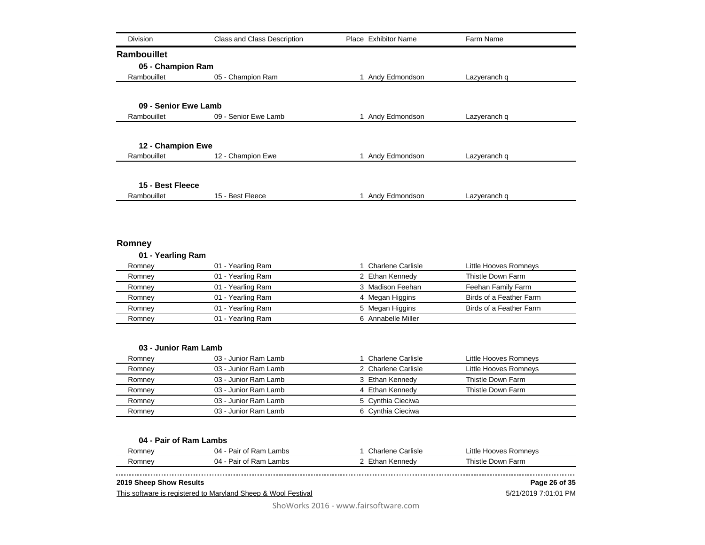| <b>Division</b>         | <b>Class and Class Description</b> | Place Exhibitor Name | Farm Name                                         |
|-------------------------|------------------------------------|----------------------|---------------------------------------------------|
| Rambouillet             |                                    |                      |                                                   |
| 05 - Champion Ram       |                                    |                      |                                                   |
| Rambouillet             | 05 - Champion Ram                  | 1 Andy Edmondson     | Lazyeranch q                                      |
|                         |                                    |                      |                                                   |
| 09 - Senior Ewe Lamb    |                                    |                      |                                                   |
| Rambouillet             | 09 - Senior Ewe Lamb               | 1 Andy Edmondson     | Lazyeranch q                                      |
|                         |                                    |                      |                                                   |
| 12 - Champion Ewe       |                                    |                      |                                                   |
| Rambouillet             | 12 - Champion Ewe                  | 1 Andy Edmondson     | Lazyeranch q                                      |
|                         |                                    |                      |                                                   |
| 15 - Best Fleece        |                                    |                      |                                                   |
| Rambouillet             | 15 - Best Fleece                   | 1 Andy Edmondson     | Lazyeranch q                                      |
| Romney                  |                                    |                      |                                                   |
| 01 - Yearling Ram       |                                    |                      |                                                   |
| Romney                  | 01 - Yearling Ram                  | 1 Charlene Carlisle  | Little Hooves Romneys                             |
| Romney                  | 01 - Yearling Ram                  | 2 Ethan Kennedy      | Thistle Down Farm                                 |
| Romney                  | 01 - Yearling Ram                  | 3 Madison Feehan     | Feehan Family Farm                                |
| Romney                  | 01 - Yearling Ram                  | 4 Megan Higgins      | Birds of a Feather Farm                           |
| Romney                  | 01 - Yearling Ram                  | 5 Megan Higgins      | Birds of a Feather Farm                           |
| Romney                  | 01 - Yearling Ram                  | 6 Annabelle Miller   |                                                   |
| 03 - Junior Ram Lamb    |                                    |                      |                                                   |
| Romney                  | 03 - Junior Ram Lamb               | 1 Charlene Carlisle  | Little Hooves Romneys                             |
| Romney                  | 03 - Junior Ram Lamb               | 2 Charlene Carlisle  | Little Hooves Romneys                             |
| Romney                  | 03 - Junior Ram Lamb               | 3 Ethan Kennedy      | Thistle Down Farm                                 |
| Romney                  | 03 - Junior Ram Lamb               | 4 Ethan Kennedy      | Thistle Down Farm                                 |
| Romney                  | 03 - Junior Ram Lamb               | 5 Cynthia Cieciwa    |                                                   |
| Romney                  | 03 - Junior Ram Lamb               | 6 Cynthia Cieciwa    |                                                   |
|                         |                                    |                      |                                                   |
| 04 - Pair of Ram Lambs  | 04 - Pair of Ram Lambs             | 1 Charlene Carlisle  |                                                   |
| Romney                  | 04 - Pair of Ram Lambs             | 2 Ethan Kennedy      | Little Hooves Romneys<br><b>Thistle Down Farm</b> |
| Romney                  |                                    |                      |                                                   |
| 2019 Sheep Show Results |                                    |                      | Page 26 of 35                                     |

This software is registered to Maryland Sheep & Wool Festival

5/21/2019 7:01:01 PM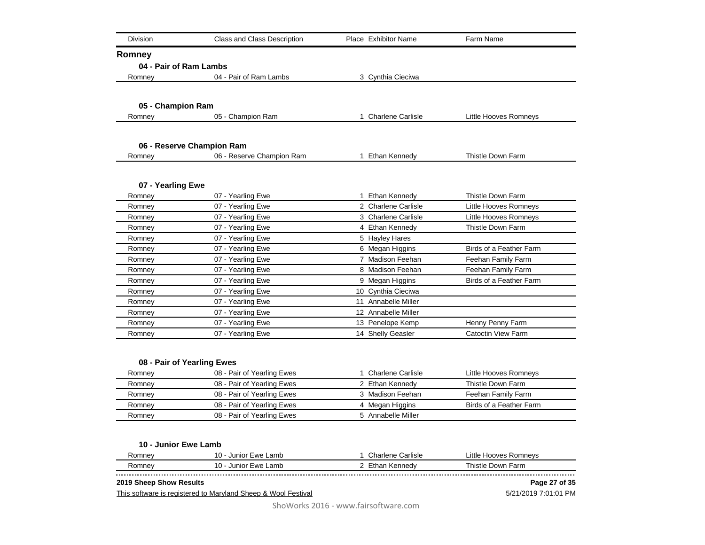| Division               | Class and Class Description                              | Place Exhibitor Name | Farm Name                 |
|------------------------|----------------------------------------------------------|----------------------|---------------------------|
| Romney                 |                                                          |                      |                           |
| 04 - Pair of Ram Lambs |                                                          |                      |                           |
| Romney                 | 04 - Pair of Ram Lambs                                   | 3 Cynthia Cieciwa    |                           |
|                        |                                                          |                      |                           |
|                        |                                                          |                      |                           |
| 05 - Champion Ram      |                                                          |                      |                           |
| Romney                 | 05 - Champion Ram                                        | 1 Charlene Carlisle  | Little Hooves Romneys     |
|                        |                                                          |                      |                           |
|                        | 06 - Reserve Champion Ram                                |                      |                           |
| Romney                 | 06 - Reserve Champion Ram                                | 1 Ethan Kennedy      | Thistle Down Farm         |
|                        |                                                          |                      |                           |
| 07 - Yearling Ewe      |                                                          |                      |                           |
| Romney                 | 07 - Yearling Ewe                                        | 1 Ethan Kennedy      | Thistle Down Farm         |
| Romney                 | 07 - Yearling Ewe                                        | 2 Charlene Carlisle  | Little Hooves Romneys     |
| Romney                 | 07 - Yearling Ewe                                        | 3 Charlene Carlisle  | Little Hooves Romneys     |
| Romney                 | 07 - Yearling Ewe                                        | 4 Ethan Kennedy      | Thistle Down Farm         |
| Romney                 | 07 - Yearling Ewe                                        | 5 Hayley Hares       |                           |
| Romney                 | 07 - Yearling Ewe                                        | 6 Megan Higgins      | Birds of a Feather Farm   |
| Romney                 | 07 - Yearling Ewe                                        | 7 Madison Feehan     | Feehan Family Farm        |
| Romney                 | 07 - Yearling Ewe                                        | 8 Madison Feehan     | Feehan Family Farm        |
| Romney                 | 07 - Yearling Ewe                                        | 9 Megan Higgins      | Birds of a Feather Farm   |
| Romney                 | 07 - Yearling Ewe                                        | 10 Cynthia Cieciwa   |                           |
| Romney                 | 07 - Yearling Ewe                                        | 11 Annabelle Miller  |                           |
| Romney                 | 07 - Yearling Ewe                                        | 12 Annabelle Miller  |                           |
| Romney                 | 07 - Yearling Ewe                                        | 13 Penelope Kemp     | Henny Penny Farm          |
| Romney                 | 07 - Yearling Ewe                                        | 14 Shelly Geasler    | <b>Catoctin View Farm</b> |
|                        |                                                          |                      |                           |
|                        |                                                          |                      |                           |
| Romney                 | 08 - Pair of Yearling Ewes<br>08 - Pair of Yearling Ewes | 1 Charlene Carlisle  | Little Hooves Romneys     |
| Romney                 | 08 - Pair of Yearling Ewes                               | 2 Ethan Kennedy      | Thistle Down Farm         |
| Romney                 | 08 - Pair of Yearling Ewes                               | 3 Madison Feehan     | Feehan Family Farm        |
| Romney                 | 08 - Pair of Yearling Ewes                               | 4 Megan Higgins      | Birds of a Feather Farm   |
| Romney                 | 08 - Pair of Yearling Ewes                               | 5 Annabelle Miller   |                           |
|                        |                                                          |                      |                           |
|                        |                                                          |                      |                           |
| 10 - Junior Ewe Lamb   |                                                          |                      |                           |
| Romney                 | 10 - Junior Ewe Lamb                                     | 1. Charlene Carlisle | Little Hooves Romneys     |

| omne | . .<br>.amb<br>۱۸/۴<br>. . | . .<br>`arlısle<br>                | .ittle<br>mnavr<br>noves   |
|------|----------------------------|------------------------------------|----------------------------|
| ำne∖ | .amb<br>٠w۴<br>. .         | . ieav<br>$\overline{\phantom{a}}$ | '−arm.<br>h<br>nwr<br>stle |
|      |                            |                                    |                            |

## **2019 Sheep Show Results**

This software is registered to Maryland Sheep & Wool Festival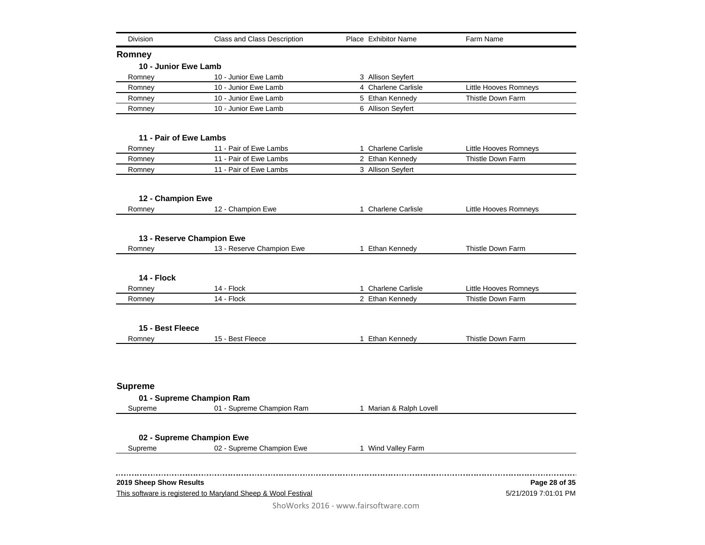| Division                | Class and Class Description                                   | Place Exhibitor Name                 | Farm Name                |
|-------------------------|---------------------------------------------------------------|--------------------------------------|--------------------------|
| Romney                  |                                                               |                                      |                          |
| 10 - Junior Ewe Lamb    |                                                               |                                      |                          |
| Romney                  | 10 - Junior Ewe Lamb                                          | 3 Allison Seyfert                    |                          |
| Romney                  | 10 - Junior Ewe Lamb                                          | 4 Charlene Carlisle                  | Little Hooves Romneys    |
| Romney                  | 10 - Junior Ewe Lamb                                          | 5 Ethan Kennedy                      | Thistle Down Farm        |
| Romney                  | 10 - Junior Ewe Lamb                                          | 6 Allison Seyfert                    |                          |
| 11 - Pair of Ewe Lambs  |                                                               |                                      |                          |
| Romney                  | 11 - Pair of Ewe Lambs                                        | 1 Charlene Carlisle                  | Little Hooves Romneys    |
| Romney                  | 11 - Pair of Ewe Lambs                                        | 2 Ethan Kennedy                      | Thistle Down Farm        |
| Romney                  | 11 - Pair of Ewe Lambs                                        | 3 Allison Seyfert                    |                          |
| 12 - Champion Ewe       |                                                               |                                      |                          |
| Romney                  | 12 - Champion Ewe                                             | 1 Charlene Carlisle                  | Little Hooves Romneys    |
|                         | 13 - Reserve Champion Ewe                                     |                                      |                          |
| Romney                  | 13 - Reserve Champion Ewe                                     | 1 Ethan Kennedy                      | <b>Thistle Down Farm</b> |
|                         |                                                               |                                      |                          |
| 14 - Flock              |                                                               |                                      |                          |
| Romney                  | 14 - Flock                                                    | 1 Charlene Carlisle                  | Little Hooves Romneys    |
| Romney                  | 14 - Flock                                                    | 2 Ethan Kennedy                      | <b>Thistle Down Farm</b> |
| 15 - Best Fleece        |                                                               |                                      |                          |
| Romney                  | 15 - Best Fleece                                              | 1 Ethan Kennedy                      | <b>Thistle Down Farm</b> |
|                         |                                                               |                                      |                          |
| <b>Supreme</b>          |                                                               |                                      |                          |
|                         | 01 - Supreme Champion Ram                                     |                                      |                          |
| Supreme                 | 01 - Supreme Champion Ram                                     | 1 Marian & Ralph Lovell              |                          |
|                         | 02 - Supreme Champion Ewe                                     |                                      |                          |
| Supreme                 | 02 - Supreme Champion Ewe                                     | 1 Wind Valley Farm                   |                          |
|                         |                                                               |                                      |                          |
| 2019 Sheep Show Results |                                                               |                                      | Page 28 of 35            |
|                         | This software is registered to Maryland Sheep & Wool Festival |                                      | 5/21/2019 7:01:01 PM     |
|                         |                                                               | ShoWorks 2016 - www.fairsoftware.com |                          |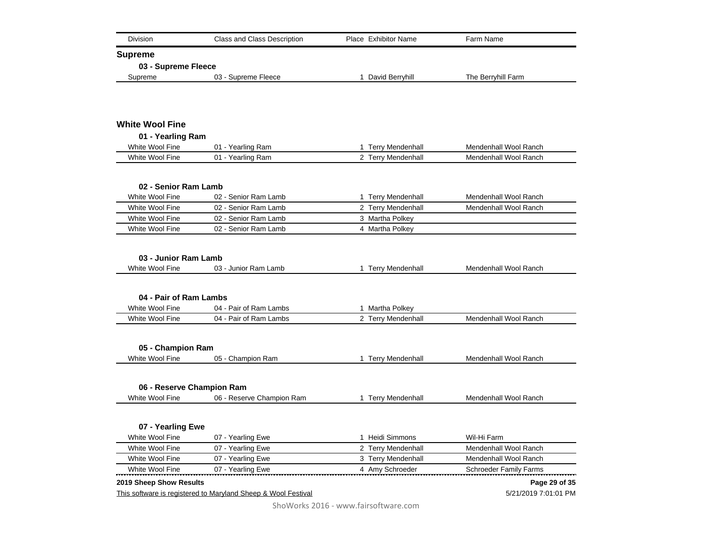| Division                                | Class and Class Description                                   | Place Exhibitor Name | Farm Name                     |
|-----------------------------------------|---------------------------------------------------------------|----------------------|-------------------------------|
| <b>Supreme</b>                          |                                                               |                      |                               |
| 03 - Supreme Fleece                     |                                                               |                      |                               |
| Supreme                                 | 03 - Supreme Fleece                                           | 1 David Berryhill    | The Berryhill Farm            |
|                                         |                                                               |                      |                               |
| <b>White Wool Fine</b>                  |                                                               |                      |                               |
| 01 - Yearling Ram                       |                                                               |                      |                               |
| White Wool Fine                         | 01 - Yearling Ram                                             | 1 Terry Mendenhall   | Mendenhall Wool Ranch         |
| White Wool Fine                         | 01 - Yearling Ram                                             | 2 Terry Mendenhall   | Mendenhall Wool Ranch         |
| 02 - Senior Ram Lamb                    |                                                               |                      |                               |
| White Wool Fine                         | 02 - Senior Ram Lamb                                          | 1 Terry Mendenhall   | Mendenhall Wool Ranch         |
| White Wool Fine                         | 02 - Senior Ram Lamb                                          | 2 Terry Mendenhall   | Mendenhall Wool Ranch         |
| White Wool Fine                         | 02 - Senior Ram Lamb                                          | 3 Martha Polkey      |                               |
| White Wool Fine                         | 02 - Senior Ram Lamb                                          | 4 Martha Polkey      |                               |
| 03 - Junior Ram Lamb<br>White Wool Fine | 03 - Junior Ram Lamb                                          | 1 Terry Mendenhall   | Mendenhall Wool Ranch         |
| 04 - Pair of Ram Lambs                  |                                                               |                      |                               |
| White Wool Fine                         | 04 - Pair of Ram Lambs                                        | 1 Martha Polkey      |                               |
| White Wool Fine                         | 04 - Pair of Ram Lambs                                        | 2 Terry Mendenhall   | Mendenhall Wool Ranch         |
| 05 - Champion Ram                       |                                                               |                      |                               |
| White Wool Fine                         | 05 - Champion Ram                                             | 1 Terry Mendenhall   | Mendenhall Wool Ranch         |
|                                         |                                                               |                      |                               |
| 06 - Reserve Champion Ram               |                                                               |                      |                               |
| White Wool Fine                         | 06 - Reserve Champion Ram                                     | 1 Terry Mendenhall   | Mendenhall Wool Ranch         |
| 07 - Yearling Ewe                       |                                                               |                      |                               |
| White Wool Fine                         | 07 - Yearling Ewe                                             | 1 Heidi Simmons      | Wil-Hi Farm                   |
| White Wool Fine                         | 07 - Yearling Ewe                                             | 2 Terry Mendenhall   | Mendenhall Wool Ranch         |
| White Wool Fine                         | 07 - Yearling Ewe                                             | 3 Terry Mendenhall   | Mendenhall Wool Ranch         |
| White Wool Fine                         | 07 - Yearling Ewe                                             | 4 Amy Schroeder      | <b>Schroeder Family Farms</b> |
| 2019 Sheep Show Results                 |                                                               |                      | Page 29 of 35                 |
|                                         | This software is registered to Maryland Sheep & Wool Festival |                      | 5/21/2019 7:01:01 PM          |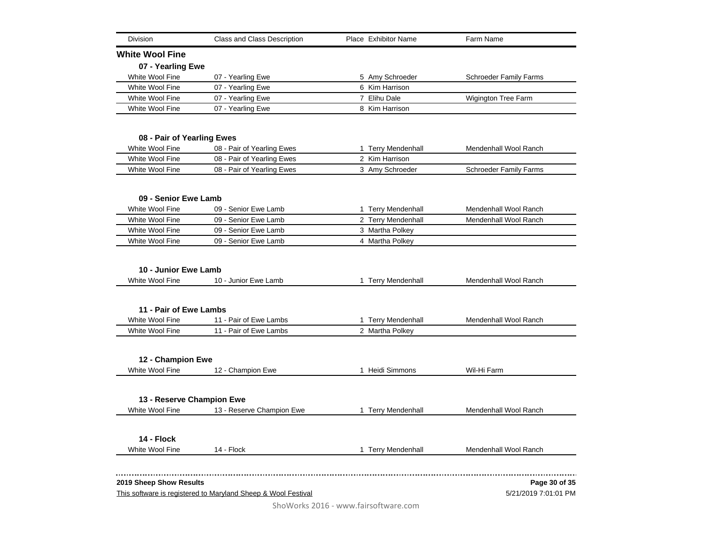| <b>Division</b>                         | Class and Class Description                                   | Place Exhibitor Name | Farm Name                     |
|-----------------------------------------|---------------------------------------------------------------|----------------------|-------------------------------|
| <b>White Wool Fine</b>                  |                                                               |                      |                               |
| 07 - Yearling Ewe                       |                                                               |                      |                               |
| White Wool Fine                         | 07 - Yearling Ewe                                             | 5 Amy Schroeder      | <b>Schroeder Family Farms</b> |
| White Wool Fine                         | 07 - Yearling Ewe                                             | 6 Kim Harrison       |                               |
| White Wool Fine                         | 07 - Yearling Ewe                                             | 7 Elihu Dale         | Wigington Tree Farm           |
| White Wool Fine                         | 07 - Yearling Ewe                                             | 8 Kim Harrison       |                               |
|                                         |                                                               |                      |                               |
| 08 - Pair of Yearling Ewes              |                                                               |                      |                               |
| White Wool Fine                         | 08 - Pair of Yearling Ewes                                    | 1 Terry Mendenhall   | Mendenhall Wool Ranch         |
| White Wool Fine                         | 08 - Pair of Yearling Ewes                                    | 2 Kim Harrison       |                               |
| White Wool Fine                         | 08 - Pair of Yearling Ewes                                    | 3 Amy Schroeder      | <b>Schroeder Family Farms</b> |
| 09 - Senior Ewe Lamb                    |                                                               |                      |                               |
| White Wool Fine                         | 09 - Senior Ewe Lamb                                          | 1 Terry Mendenhall   | Mendenhall Wool Ranch         |
| White Wool Fine                         | 09 - Senior Ewe Lamb                                          | 2 Terry Mendenhall   | Mendenhall Wool Ranch         |
| White Wool Fine                         | 09 - Senior Ewe Lamb                                          | 3 Martha Polkey      |                               |
| White Wool Fine                         | 09 - Senior Ewe Lamb                                          | 4 Martha Polkey      |                               |
| 10 - Junior Ewe Lamb<br>White Wool Fine | 10 - Junior Ewe Lamb                                          | 1 Terry Mendenhall   | Mendenhall Wool Ranch         |
| 11 - Pair of Ewe Lambs                  |                                                               |                      |                               |
| White Wool Fine                         | 11 - Pair of Ewe Lambs                                        | 1 Terry Mendenhall   | Mendenhall Wool Ranch         |
| White Wool Fine                         | 11 - Pair of Ewe Lambs                                        | 2 Martha Polkey      |                               |
| 12 - Champion Ewe                       |                                                               |                      |                               |
| White Wool Fine                         | 12 - Champion Ewe                                             | 1 Heidi Simmons      | Wil-Hi Farm                   |
| 13 - Reserve Champion Ewe               |                                                               |                      |                               |
| White Wool Fine                         | 13 - Reserve Champion Ewe                                     | 1 Terry Mendenhall   | Mendenhall Wool Ranch         |
|                                         |                                                               |                      |                               |
| 14 - Flock                              |                                                               |                      |                               |
| White Wool Fine                         | 14 - Flock                                                    | 1 Terry Mendenhall   | Mendenhall Wool Ranch         |
| 2019 Sheep Show Results                 |                                                               |                      | Page 30 of 35                 |
|                                         | This software is registered to Maryland Sheep & Wool Festival |                      | 5/21/2019 7:01:01 PM          |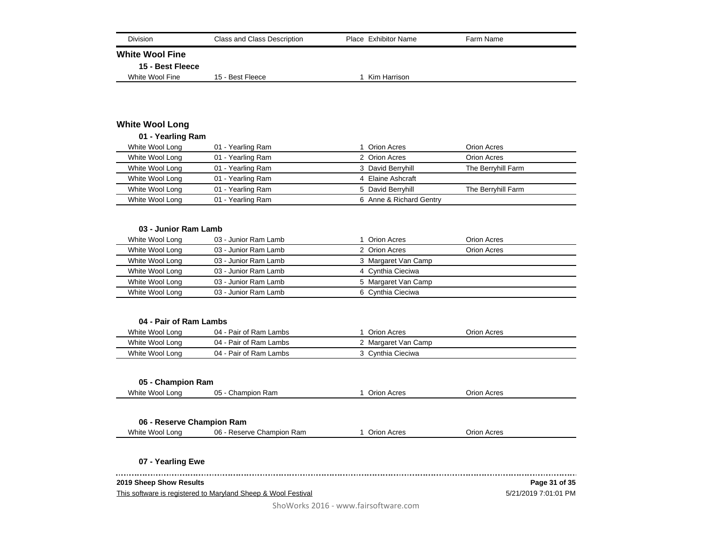| <b>Class and Class Description</b><br>Division                | Place Exhibitor Name    | Farm Name            |
|---------------------------------------------------------------|-------------------------|----------------------|
| <b>White Wool Fine</b>                                        |                         |                      |
| 15 - Best Fleece                                              |                         |                      |
| White Wool Fine<br>15 - Best Fleece                           | 1 Kim Harrison          |                      |
|                                                               |                         |                      |
|                                                               |                         |                      |
| <b>White Wool Long</b>                                        |                         |                      |
| 01 - Yearling Ram                                             |                         |                      |
| White Wool Long<br>01 - Yearling Ram                          | 1 Orion Acres           | Orion Acres          |
| White Wool Long<br>01 - Yearling Ram                          | 2 Orion Acres           | Orion Acres          |
| White Wool Long<br>01 - Yearling Ram                          | 3 David Berryhill       | The Berryhill Farm   |
| White Wool Long<br>01 - Yearling Ram                          | 4 Elaine Ashcraft       |                      |
| White Wool Long<br>01 - Yearling Ram                          | 5 David Berryhill       | The Berryhill Farm   |
| White Wool Long<br>01 - Yearling Ram                          | 6 Anne & Richard Gentry |                      |
|                                                               |                         |                      |
| 03 - Junior Ram Lamb                                          |                         |                      |
| White Wool Long<br>03 - Junior Ram Lamb                       | 1 Orion Acres           | Orion Acres          |
| White Wool Long<br>03 - Junior Ram Lamb                       | 2 Orion Acres           | Orion Acres          |
| White Wool Long<br>03 - Junior Ram Lamb                       | 3 Margaret Van Camp     |                      |
| White Wool Long<br>03 - Junior Ram Lamb                       | 4 Cynthia Cieciwa       |                      |
| White Wool Long<br>03 - Junior Ram Lamb                       | 5 Margaret Van Camp     |                      |
| White Wool Long<br>03 - Junior Ram Lamb                       | 6 Cynthia Cieciwa       |                      |
|                                                               |                         |                      |
| 04 - Pair of Ram Lambs                                        |                         |                      |
| White Wool Long<br>04 - Pair of Ram Lambs                     | 1 Orion Acres           | Orion Acres          |
| 04 - Pair of Ram Lambs<br>White Wool Long                     | 2 Margaret Van Camp     |                      |
| White Wool Long<br>04 - Pair of Ram Lambs                     | 3 Cynthia Cieciwa       |                      |
|                                                               |                         |                      |
| 05 - Champion Ram                                             |                         |                      |
| White Wool Long<br>05 - Champion Ram                          | 1 Orion Acres           | Orion Acres          |
|                                                               |                         |                      |
|                                                               |                         |                      |
| 06 - Reserve Champion Ram                                     |                         |                      |
| White Wool Long<br>06 - Reserve Champion Ram                  | 1 Orion Acres           | Orion Acres          |
| 07 - Yearling Ewe                                             |                         |                      |
| 2019 Sheep Show Results                                       |                         | Page 31 of 35        |
| This software is registered to Maryland Sheep & Wool Festival |                         | 5/21/2019 7:01:01 PM |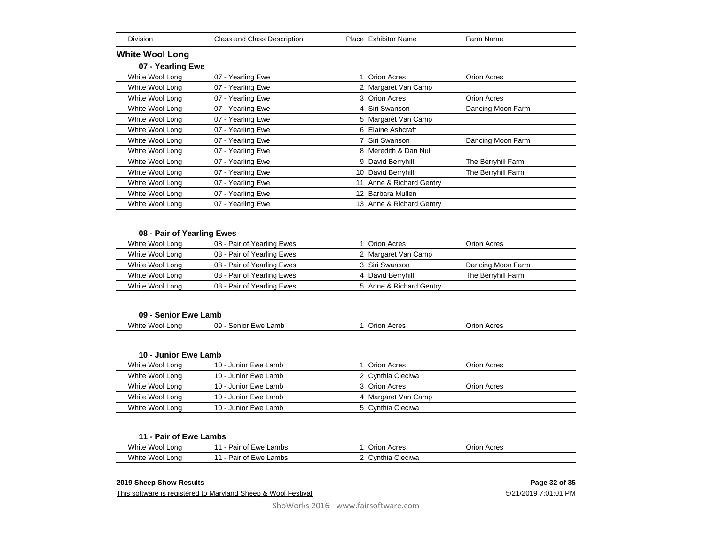|                                         | Class and Class Description                              | Place Exhibitor Name                         | Farm Name          |
|-----------------------------------------|----------------------------------------------------------|----------------------------------------------|--------------------|
| <b>White Wool Long</b>                  |                                                          |                                              |                    |
| 07 - Yearling Ewe                       |                                                          |                                              |                    |
| White Wool Long                         | 07 - Yearling Ewe                                        | 1 Orion Acres                                | Orion Acres        |
| White Wool Long                         | 07 - Yearling Ewe                                        | 2 Margaret Van Camp                          |                    |
| White Wool Long                         | 07 - Yearling Ewe                                        | 3 Orion Acres                                | <b>Orion Acres</b> |
| White Wool Long                         | 07 - Yearling Ewe                                        | 4 Siri Swanson                               | Dancing Moon Farm  |
| White Wool Long                         | 07 - Yearling Ewe                                        | 5 Margaret Van Camp                          |                    |
| White Wool Long                         | 07 - Yearling Ewe                                        | 6 Elaine Ashcraft                            |                    |
| White Wool Long                         | 07 - Yearling Ewe                                        | 7 Siri Swanson                               | Dancing Moon Farm  |
| White Wool Long                         | 07 - Yearling Ewe                                        | 8 Meredith & Dan Null                        |                    |
| White Wool Long                         | 07 - Yearling Ewe                                        | 9 David Berryhill                            | The Berryhill Farm |
| White Wool Long                         | 07 - Yearling Ewe                                        | 10 David Berryhill                           | The Berryhill Farm |
| White Wool Long                         | 07 - Yearling Ewe                                        | 11 Anne & Richard Gentry                     |                    |
| White Wool Long                         | 07 - Yearling Ewe                                        | 12 Barbara Mullen                            |                    |
| White Wool Long                         | 07 - Yearling Ewe                                        | 13 Anne & Richard Gentry                     |                    |
| White Wool Long<br>White Wool Long      | 08 - Pair of Yearling Ewes<br>08 - Pair of Yearling Ewes | 1 Orion Acres<br>2 Margaret Van Camp         | Orion Acres        |
|                                         | 08 - Pair of Yearling Ewes                               | 3 Siri Swanson                               | Dancing Moon Farm  |
|                                         |                                                          |                                              |                    |
| White Wool Long                         |                                                          |                                              |                    |
| White Wool Long<br>White Wool Long      | 08 - Pair of Yearling Ewes<br>08 - Pair of Yearling Ewes | 4 David Berryhill<br>5 Anne & Richard Gentry | The Berryhill Farm |
| 09 - Senior Ewe Lamb<br>White Wool Long | 09 - Senior Ewe Lamb                                     | 1 Orion Acres                                | <b>Orion Acres</b> |
| 10 - Junior Ewe Lamb                    |                                                          |                                              |                    |
| White Wool Long                         | 10 - Junior Ewe Lamb                                     | 1 Orion Acres                                | Orion Acres        |
| White Wool Long                         | 10 - Junior Ewe Lamb                                     | 2 Cynthia Cieciwa                            |                    |
| White Wool Long                         | 10 - Junior Ewe Lamb                                     | 3 Orion Acres                                | Orion Acres        |
| White Wool Long                         | 10 - Junior Ewe Lamb                                     | 4 Margaret Van Camp                          |                    |
| White Wool Long                         | 10 - Junior Ewe Lamb                                     | 5 Cynthia Cieciwa                            |                    |
| 11 - Pair of Ewe Lambs                  |                                                          |                                              |                    |
| White Wool Long                         | 11 - Pair of Ewe Lambs                                   | 1 Orion Acres                                | Orion Acres        |

This software is registered to Maryland Sheep & Wool Festival

5/21/2019 7:01:01 PM **Page 32 of 35**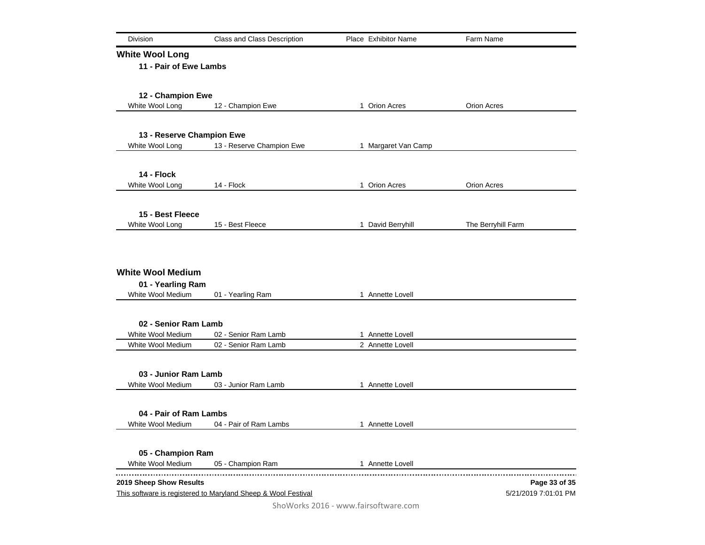| Division                                                           | Class and Class Description                                   | Place Exhibitor Name | Farm Name            |
|--------------------------------------------------------------------|---------------------------------------------------------------|----------------------|----------------------|
| <b>White Wool Long</b>                                             |                                                               |                      |                      |
| 11 - Pair of Ewe Lambs                                             |                                                               |                      |                      |
| 12 - Champion Ewe                                                  |                                                               |                      |                      |
| White Wool Long                                                    | 12 - Champion Ewe                                             | 1 Orion Acres        | Orion Acres          |
|                                                                    |                                                               |                      |                      |
| 13 - Reserve Champion Ewe                                          |                                                               |                      |                      |
| White Wool Long                                                    | 13 - Reserve Champion Ewe                                     | 1 Margaret Van Camp  |                      |
| 14 - Flock                                                         |                                                               |                      |                      |
| White Wool Long                                                    | 14 - Flock                                                    | 1 Orion Acres        | Orion Acres          |
|                                                                    |                                                               |                      |                      |
| 15 - Best Fleece                                                   |                                                               |                      |                      |
| White Wool Long                                                    | 15 - Best Fleece                                              | 1 David Berryhill    | The Berryhill Farm   |
| <b>White Wool Medium</b><br>01 - Yearling Ram<br>White Wool Medium | 01 - Yearling Ram                                             | 1 Annette Lovell     |                      |
|                                                                    |                                                               |                      |                      |
| 02 - Senior Ram Lamb                                               |                                                               |                      |                      |
| White Wool Medium                                                  | 02 - Senior Ram Lamb                                          | 1 Annette Lovell     |                      |
| White Wool Medium                                                  | 02 - Senior Ram Lamb                                          | 2 Annette Lovell     |                      |
| 03 - Junior Ram Lamb                                               |                                                               |                      |                      |
| White Wool Medium                                                  | 03 - Junior Ram Lamb                                          | 1 Annette Lovell     |                      |
| 04 - Pair of Ram Lambs                                             |                                                               |                      |                      |
| White Wool Medium                                                  | 04 - Pair of Ram Lambs                                        | 1 Annette Lovell     |                      |
|                                                                    |                                                               |                      |                      |
| 05 - Champion Ram                                                  |                                                               |                      |                      |
| White Wool Medium                                                  | 05 - Champion Ram                                             | 1 Annette Lovell     |                      |
| 2019 Sheep Show Results                                            |                                                               |                      | Page 33 of 35        |
|                                                                    | This software is registered to Maryland Sheep & Wool Festival |                      | 5/21/2019 7:01:01 PM |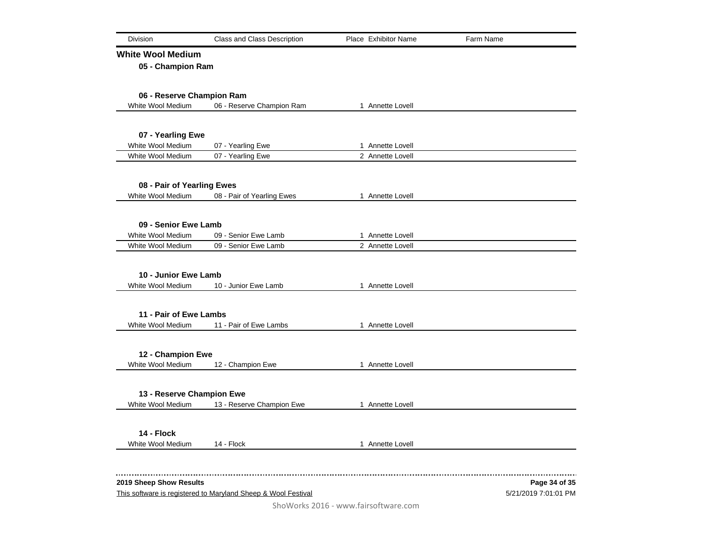| Division                                                                                 | Class and Class Description |  | Place Exhibitor Name | Farm Name                             |
|------------------------------------------------------------------------------------------|-----------------------------|--|----------------------|---------------------------------------|
| <b>White Wool Medium</b>                                                                 |                             |  |                      |                                       |
| 05 - Champion Ram                                                                        |                             |  |                      |                                       |
| 06 - Reserve Champion Ram                                                                |                             |  |                      |                                       |
| White Wool Medium                                                                        | 06 - Reserve Champion Ram   |  | 1 Annette Lovell     |                                       |
|                                                                                          |                             |  |                      |                                       |
| 07 - Yearling Ewe<br>White Wool Medium                                                   | 07 - Yearling Ewe           |  | 1 Annette Lovell     |                                       |
| White Wool Medium                                                                        | 07 - Yearling Ewe           |  | 2 Annette Lovell     |                                       |
|                                                                                          |                             |  |                      |                                       |
| 08 - Pair of Yearling Ewes                                                               |                             |  |                      |                                       |
| White Wool Medium                                                                        | 08 - Pair of Yearling Ewes  |  | 1 Annette Lovell     |                                       |
| 09 - Senior Ewe Lamb                                                                     |                             |  |                      |                                       |
| White Wool Medium                                                                        | 09 - Senior Ewe Lamb        |  | 1 Annette Lovell     |                                       |
| White Wool Medium                                                                        | 09 - Senior Ewe Lamb        |  | 2 Annette Lovell     |                                       |
|                                                                                          |                             |  |                      |                                       |
| 10 - Junior Ewe Lamb<br>White Wool Medium                                                | 10 - Junior Ewe Lamb        |  | 1 Annette Lovell     |                                       |
|                                                                                          |                             |  |                      |                                       |
| 11 - Pair of Ewe Lambs                                                                   |                             |  |                      |                                       |
| White Wool Medium                                                                        | 11 - Pair of Ewe Lambs      |  | 1 Annette Lovell     |                                       |
|                                                                                          |                             |  |                      |                                       |
| 12 - Champion Ewe                                                                        |                             |  |                      |                                       |
| White Wool Medium                                                                        | 12 - Champion Ewe           |  | 1 Annette Lovell     |                                       |
| 13 - Reserve Champion Ewe                                                                |                             |  |                      |                                       |
| White Wool Medium                                                                        | 13 - Reserve Champion Ewe   |  | 1 Annette Lovell     |                                       |
| 14 - Flock                                                                               |                             |  |                      |                                       |
| White Wool Medium                                                                        | 14 - Flock                  |  | 1 Annette Lovell     |                                       |
|                                                                                          |                             |  |                      |                                       |
|                                                                                          |                             |  |                      |                                       |
| 2019 Sheep Show Results<br>This software is registered to Maryland Sheep & Wool Festival |                             |  |                      | Page 34 of 35<br>5/21/2019 7:01:01 PM |